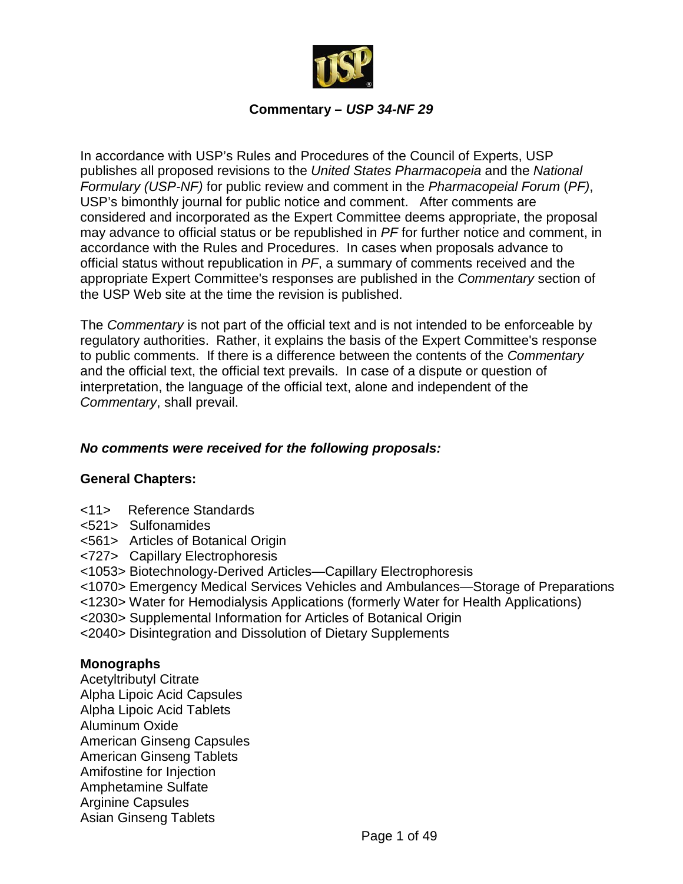

#### **Commentary –** *USP 34-NF 29*

In accordance with USP's Rules and Procedures of the Council of Experts, USP publishes all proposed revisions to the *United States Pharmacopeia* and the *National Formulary (USP-NF)* for public review and comment in the *Pharmacopeial Forum* (*PF)*, USP's bimonthly journal for public notice and comment. After comments are considered and incorporated as the Expert Committee deems appropriate, the proposal may advance to official status or be republished in *PF* for further notice and comment, in accordance with the Rules and Procedures. In cases when proposals advance to official status without republication in *PF*, a summary of comments received and the appropriate Expert Committee's responses are published in the *Commentary* section of the USP Web site at the time the revision is published.

The *Commentary* is not part of the official text and is not intended to be enforceable by regulatory authorities. Rather, it explains the basis of the Expert Committee's response to public comments. If there is a difference between the contents of the *Commentary* and the official text, the official text prevails. In case of a dispute or question of interpretation, the language of the official text, alone and independent of the *Commentary*, shall prevail.

#### *No comments were received for the following proposals:*

#### **General Chapters:**

- <11> Reference Standards
- <521> Sulfonamides
- <561> Articles of Botanical Origin
- <727> Capillary Electrophoresis
- <1053> Biotechnology-Derived Articles—Capillary Electrophoresis
- <1070> Emergency Medical Services Vehicles and Ambulances—Storage of Preparations
- <1230> Water for Hemodialysis Applications (formerly Water for Health Applications)
- <2030> Supplemental Information for Articles of Botanical Origin
- <2040> Disintegration and Dissolution of Dietary Supplements

#### **Monographs**

Acetyltributyl Citrate Alpha Lipoic Acid Capsules Alpha Lipoic Acid Tablets Aluminum Oxide American Ginseng Capsules American Ginseng Tablets Amifostine for Injection Amphetamine Sulfate Arginine Capsules Asian Ginseng Tablets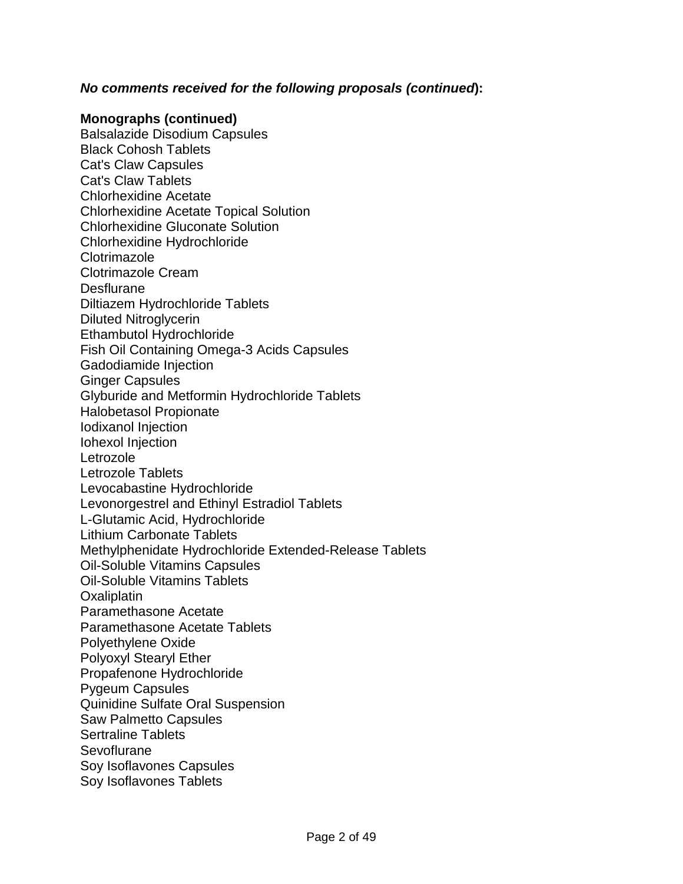#### *No comments received for the following proposals (continued***):**

#### **Monographs (continued)**

Balsalazide Disodium Capsules Black Cohosh Tablets Cat's Claw Capsules Cat's Claw Tablets Chlorhexidine Acetate Chlorhexidine Acetate Topical Solution Chlorhexidine Gluconate Solution Chlorhexidine Hydrochloride **Clotrimazole** Clotrimazole Cream **Desflurane** Diltiazem Hydrochloride Tablets Diluted Nitroglycerin Ethambutol Hydrochloride Fish Oil Containing Omega-3 Acids Capsules Gadodiamide Injection Ginger Capsules Glyburide and Metformin Hydrochloride Tablets Halobetasol Propionate Iodixanol Injection Iohexol Injection Letrozole Letrozole Tablets Levocabastine Hydrochloride Levonorgestrel and Ethinyl Estradiol Tablets L-Glutamic Acid, Hydrochloride Lithium Carbonate Tablets Methylphenidate Hydrochloride Extended-Release Tablets Oil-Soluble Vitamins Capsules Oil-Soluble Vitamins Tablets **Oxaliplatin** Paramethasone Acetate Paramethasone Acetate Tablets Polyethylene Oxide Polyoxyl Stearyl Ether Propafenone Hydrochloride Pygeum Capsules Quinidine Sulfate Oral Suspension Saw Palmetto Capsules Sertraline Tablets **Sevoflurane** Soy Isoflavones Capsules Soy Isoflavones Tablets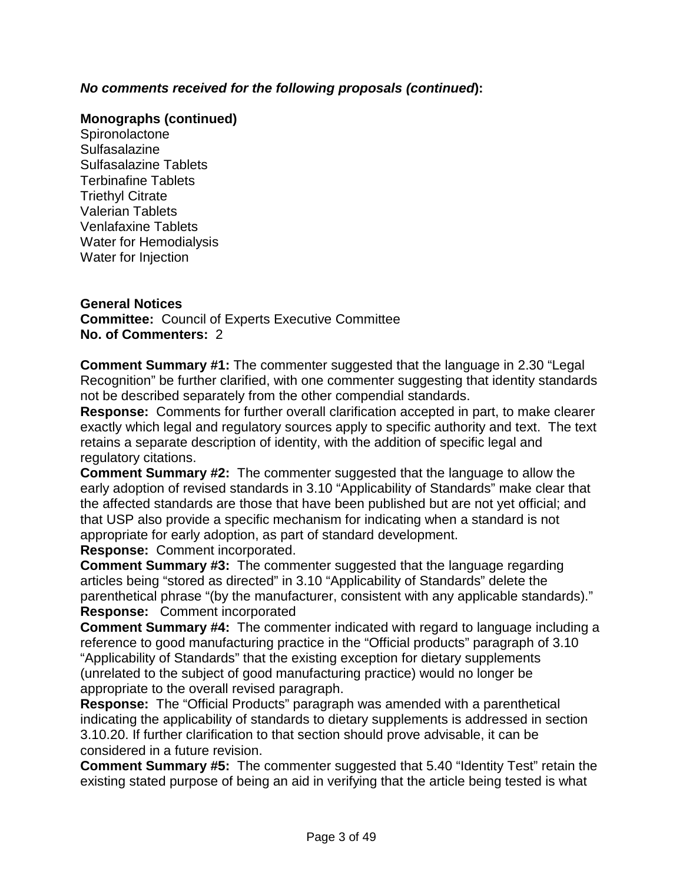# *No comments received for the following proposals (continued***):**

#### **Monographs (continued)**

**Spironolactone** Sulfasalazine Sulfasalazine Tablets Terbinafine Tablets Triethyl Citrate Valerian Tablets Venlafaxine Tablets Water for Hemodialysis Water for Injection

#### **General Notices**

**Committee:** Council of Experts Executive Committee **No. of Commenters:** 2

**Comment Summary #1:** The commenter suggested that the language in 2.30 "Legal Recognition" be further clarified, with one commenter suggesting that identity standards not be described separately from the other compendial standards.

**Response:** Comments for further overall clarification accepted in part, to make clearer exactly which legal and regulatory sources apply to specific authority and text. The text retains a separate description of identity, with the addition of specific legal and regulatory citations.

**Comment Summary #2:** The commenter suggested that the language to allow the early adoption of revised standards in 3.10 "Applicability of Standards" make clear that the affected standards are those that have been published but are not yet official; and that USP also provide a specific mechanism for indicating when a standard is not appropriate for early adoption, as part of standard development.

**Response:** Comment incorporated.

**Comment Summary #3:** The commenter suggested that the language regarding articles being "stored as directed" in 3.10 "Applicability of Standards" delete the parenthetical phrase "(by the manufacturer, consistent with any applicable standards)." **Response:** Comment incorporated

**Comment Summary #4:** The commenter indicated with regard to language including a reference to good manufacturing practice in the "Official products" paragraph of 3.10 "Applicability of Standards" that the existing exception for dietary supplements (unrelated to the subject of good manufacturing practice) would no longer be appropriate to the overall revised paragraph.

**Response:** The "Official Products" paragraph was amended with a parenthetical indicating the applicability of standards to dietary supplements is addressed in section 3.10.20. If further clarification to that section should prove advisable, it can be considered in a future revision.

**Comment Summary #5:** The commenter suggested that 5.40 "Identity Test" retain the existing stated purpose of being an aid in verifying that the article being tested is what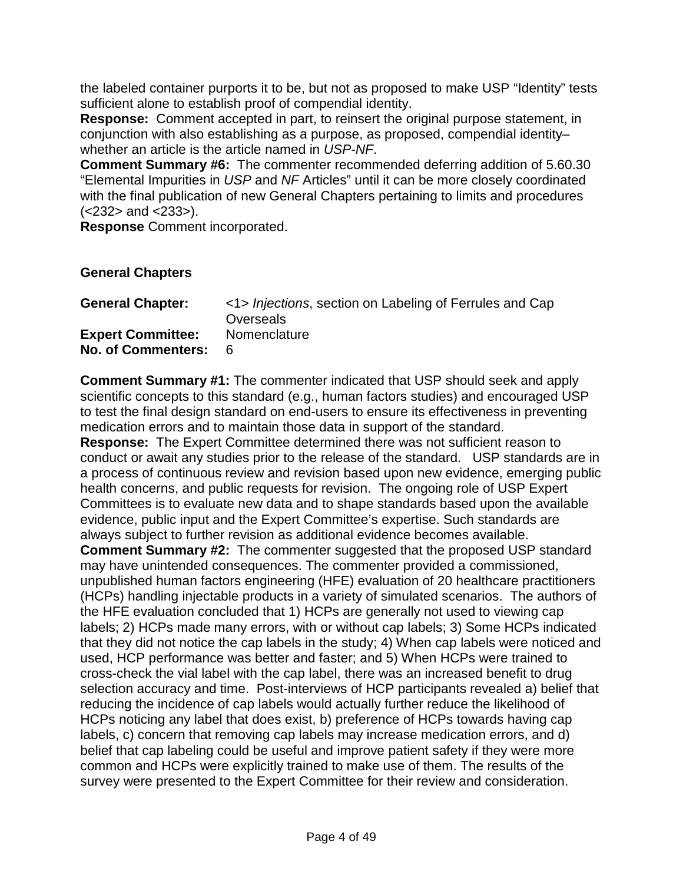the labeled container purports it to be, but not as proposed to make USP "Identity" tests sufficient alone to establish proof of compendial identity.

**Response:** Comment accepted in part, to reinsert the original purpose statement, in conjunction with also establishing as a purpose, as proposed, compendial identity– whether an article is the article named in *USP-NF*.

**Comment Summary #6:** The commenter recommended deferring addition of 5.60.30 "Elemental Impurities in *USP* and *NF* Articles" until it can be more closely coordinated with the final publication of new General Chapters pertaining to limits and procedures (<232> and <233>).

**Response** Comment incorporated.

#### **General Chapters**

| <b>General Chapter:</b>                          | <1> Injections, section on Labeling of Ferrules and Cap<br>Overseals |
|--------------------------------------------------|----------------------------------------------------------------------|
| <b>Expert Committee:</b><br>No. of Commenters: 6 | Nomenclature                                                         |

**Comment Summary #1:** The commenter indicated that USP should seek and apply scientific concepts to this standard (e.g., human factors studies) and encouraged USP to test the final design standard on end-users to ensure its effectiveness in preventing medication errors and to maintain those data in support of the standard.

**Response:** The Expert Committee determined there was not sufficient reason to conduct or await any studies prior to the release of the standard. USP standards are in a process of continuous review and revision based upon new evidence, emerging public health concerns, and public requests for revision. The ongoing role of USP Expert Committees is to evaluate new data and to shape standards based upon the available evidence, public input and the Expert Committee's expertise. Such standards are always subject to further revision as additional evidence becomes available. **Comment Summary #2:** The commenter suggested that the proposed USP standard

may have unintended consequences. The commenter provided a commissioned, unpublished human factors engineering (HFE) evaluation of 20 healthcare practitioners (HCPs) handling injectable products in a variety of simulated scenarios. The authors of the HFE evaluation concluded that 1) HCPs are generally not used to viewing cap labels; 2) HCPs made many errors, with or without cap labels; 3) Some HCPs indicated that they did not notice the cap labels in the study; 4) When cap labels were noticed and used, HCP performance was better and faster; and 5) When HCPs were trained to cross-check the vial label with the cap label, there was an increased benefit to drug selection accuracy and time. Post-interviews of HCP participants revealed a) belief that reducing the incidence of cap labels would actually further reduce the likelihood of HCPs noticing any label that does exist, b) preference of HCPs towards having cap labels, c) concern that removing cap labels may increase medication errors, and d) belief that cap labeling could be useful and improve patient safety if they were more common and HCPs were explicitly trained to make use of them. The results of the survey were presented to the Expert Committee for their review and consideration.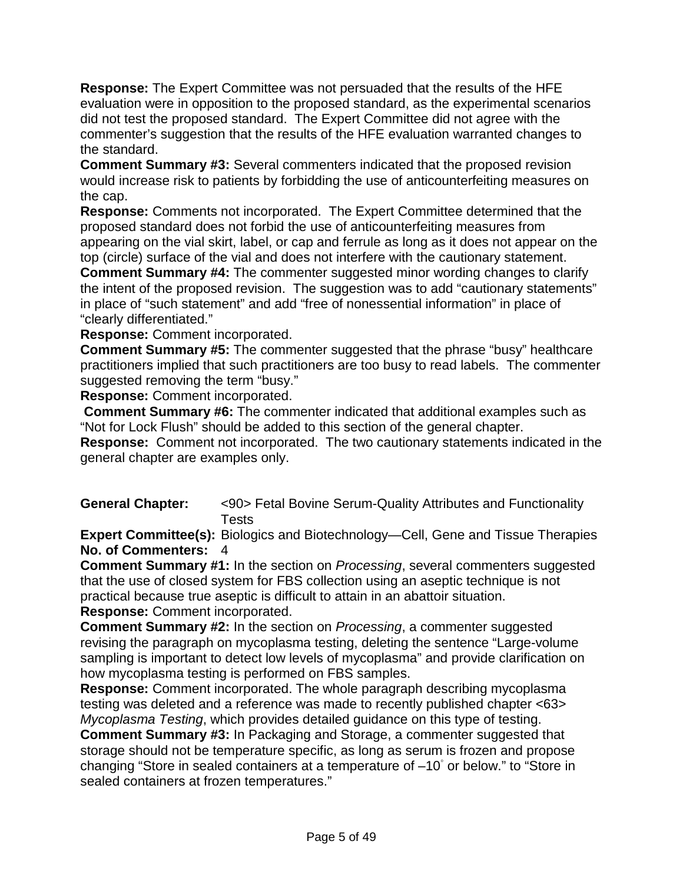**Response:** The Expert Committee was not persuaded that the results of the HFE evaluation were in opposition to the proposed standard, as the experimental scenarios did not test the proposed standard. The Expert Committee did not agree with the commenter's suggestion that the results of the HFE evaluation warranted changes to the standard.

**Comment Summary #3:** Several commenters indicated that the proposed revision would increase risk to patients by forbidding the use of anticounterfeiting measures on the cap.

**Response:** Comments not incorporated. The Expert Committee determined that the proposed standard does not forbid the use of anticounterfeiting measures from appearing on the vial skirt, label, or cap and ferrule as long as it does not appear on the top (circle) surface of the vial and does not interfere with the cautionary statement.

**Comment Summary #4:** The commenter suggested minor wording changes to clarify the intent of the proposed revision. The suggestion was to add "cautionary statements" in place of "such statement" and add "free of nonessential information" in place of "clearly differentiated."

**Response:** Comment incorporated.

**Comment Summary #5:** The commenter suggested that the phrase "busy" healthcare practitioners implied that such practitioners are too busy to read labels. The commenter suggested removing the term "busy."

**Response:** Comment incorporated.

**Comment Summary #6:** The commenter indicated that additional examples such as "Not for Lock Flush" should be added to this section of the general chapter.

**Response:** Comment not incorporated. The two cautionary statements indicated in the general chapter are examples only.

**General Chapter:** <90> Fetal Bovine Serum-Quality Attributes and Functionality **Tests** 

**Expert Committee(s):** Biologics and Biotechnology—Cell, Gene and Tissue Therapies **No. of Commenters:** 4

**Comment Summary #1:** In the section on *Processing*, several commenters suggested that the use of closed system for FBS collection using an aseptic technique is not practical because true aseptic is difficult to attain in an abattoir situation. **Response:** Comment incorporated.

**Comment Summary #2:** In the section on *Processing*, a commenter suggested revising the paragraph on mycoplasma testing, deleting the sentence "Large-volume sampling is important to detect low levels of mycoplasma" and provide clarification on how mycoplasma testing is performed on FBS samples.

**Response:** Comment incorporated. The whole paragraph describing mycoplasma testing was deleted and a reference was made to recently published chapter <63> *Mycoplasma Testing*, which provides detailed guidance on this type of testing.

**Comment Summary #3:** In Packaging and Storage, a commenter suggested that storage should not be temperature specific, as long as serum is frozen and propose changing "Store in sealed containers at a temperature of –10◦ or below." to "Store in sealed containers at frozen temperatures."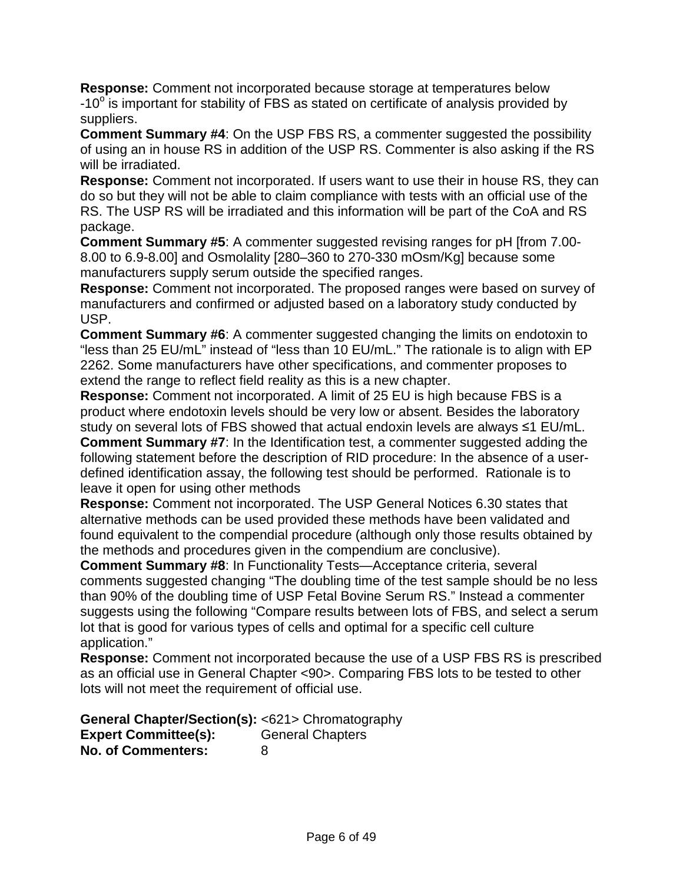**Response:** Comment not incorporated because storage at temperatures below  $-10^\circ$  is important for stability of FBS as stated on certificate of analysis provided by suppliers.

**Comment Summary #4**: On the USP FBS RS, a commenter suggested the possibility of using an in house RS in addition of the USP RS. Commenter is also asking if the RS will be irradiated.

**Response:** Comment not incorporated. If users want to use their in house RS, they can do so but they will not be able to claim compliance with tests with an official use of the RS. The USP RS will be irradiated and this information will be part of the CoA and RS package.

**Comment Summary #5**: A commenter suggested revising ranges for pH [from 7.00- 8.00 to 6.9-8.00] and Osmolality [280–360 to 270-330 mOsm/Kg] because some manufacturers supply serum outside the specified ranges.

**Response:** Comment not incorporated. The proposed ranges were based on survey of manufacturers and confirmed or adjusted based on a laboratory study conducted by USP.

**Comment Summary #6**: A commenter suggested changing the limits on endotoxin to "less than 25 EU/mL" instead of "less than 10 EU/mL." The rationale is to align with EP 2262. Some manufacturers have other specifications, and commenter proposes to extend the range to reflect field reality as this is a new chapter.

**Response:** Comment not incorporated. A limit of 25 EU is high because FBS is a product where endotoxin levels should be very low or absent. Besides the laboratory study on several lots of FBS showed that actual endoxin levels are always ≤1 EU/mL. **Comment Summary #7**: In the Identification test, a commenter suggested adding the following statement before the description of RID procedure: In the absence of a userdefined identification assay, the following test should be performed. Rationale is to leave it open for using other methods

**Response:** Comment not incorporated. The USP General Notices 6.30 states that alternative methods can be used provided these methods have been validated and found equivalent to the compendial procedure (although only those results obtained by the methods and procedures given in the compendium are conclusive).

**Comment Summary #8**: In Functionality Tests—Acceptance criteria, several comments suggested changing "The doubling time of the test sample should be no less than 90% of the doubling time of USP Fetal Bovine Serum RS." Instead a commenter suggests using the following "Compare results between lots of FBS, and select a serum lot that is good for various types of cells and optimal for a specific cell culture application."

**Response:** Comment not incorporated because the use of a USP FBS RS is prescribed as an official use in General Chapter <90>. Comparing FBS lots to be tested to other lots will not meet the requirement of official use.

**General Chapter/Section(s):** <621> Chromatography **Expert Committee(s):** General Chapters **No. of Commenters:** 8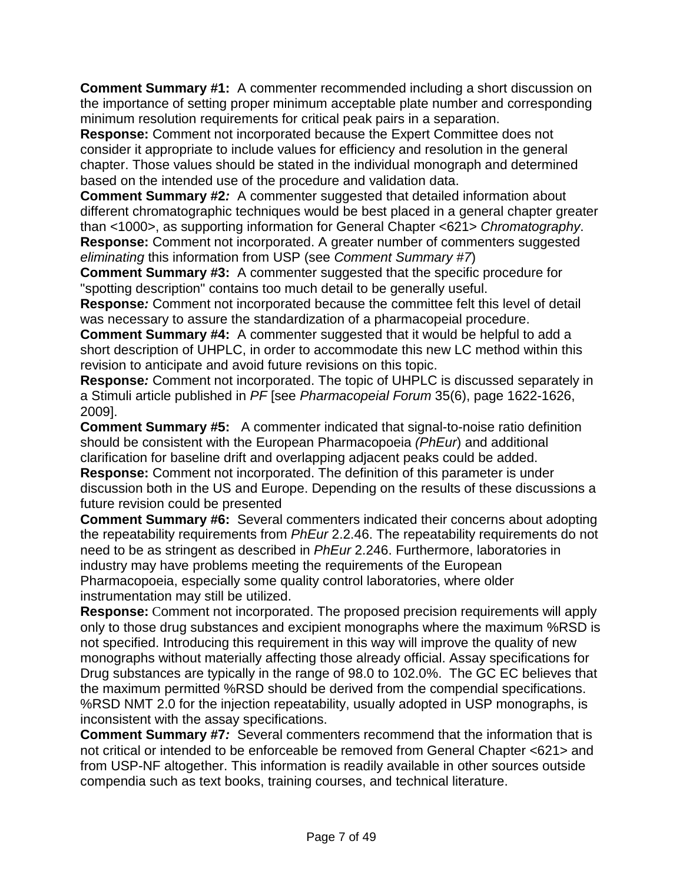**Comment Summary #1:** A commenter recommended including a short discussion on the importance of setting proper minimum acceptable plate number and corresponding minimum resolution requirements for critical peak pairs in a separation.

**Response:** Comment not incorporated because the Expert Committee does not consider it appropriate to include values for efficiency and resolution in the general chapter. Those values should be stated in the individual monograph and determined based on the intended use of the procedure and validation data.

**Comment Summary #2***:* A commenter suggested that detailed information about different chromatographic techniques would be best placed in a general chapter greater than <1000>, as supporting information for General Chapter <621> *Chromatography*. **Response:** Comment not incorporated. A greater number of commenters suggested *eliminating* this information from USP (see *Comment Summary #7*)

**Comment Summary #3:** A commenter suggested that the specific procedure for "spotting description" contains too much detail to be generally useful.

**Response***:* Comment not incorporated because the committee felt this level of detail was necessary to assure the standardization of a pharmacopeial procedure.

**Comment Summary #4:** A commenter suggested that it would be helpful to add a short description of UHPLC, in order to accommodate this new LC method within this revision to anticipate and avoid future revisions on this topic.

**Response***:* Comment not incorporated. The topic of UHPLC is discussed separately in a Stimuli article published in *PF* [see *Pharmacopeial Forum* 35(6), page 1622-1626, 2009].

**Comment Summary #5:** A commenter indicated that signal-to-noise ratio definition should be consistent with the European Pharmacopoeia *(PhEur*) and additional clarification for baseline drift and overlapping adjacent peaks could be added. **Response:** Comment not incorporated. The definition of this parameter is under discussion both in the US and Europe. Depending on the results of these discussions a future revision could be presented

**Comment Summary #6:** Several commenters indicated their concerns about adopting the repeatability requirements from *PhEur* 2.2.46. The repeatability requirements do not need to be as stringent as described in *PhEur* 2.246. Furthermore, laboratories in industry may have problems meeting the requirements of the European Pharmacopoeia, especially some quality control laboratories, where older instrumentation may still be utilized.

**Response:** Comment not incorporated. The proposed precision requirements will apply only to those drug substances and excipient monographs where the maximum %RSD is not specified. Introducing this requirement in this way will improve the quality of new monographs without materially affecting those already official. Assay specifications for Drug substances are typically in the range of 98.0 to 102.0%. The GC EC believes that the maximum permitted %RSD should be derived from the compendial specifications. %RSD NMT 2.0 for the injection repeatability, usually adopted in USP monographs, is inconsistent with the assay specifications.

**Comment Summary #7***:* Several commenters recommend that the information that is not critical or intended to be enforceable be removed from General Chapter <621> and from USP-NF altogether. This information is readily available in other sources outside compendia such as text books, training courses, and technical literature.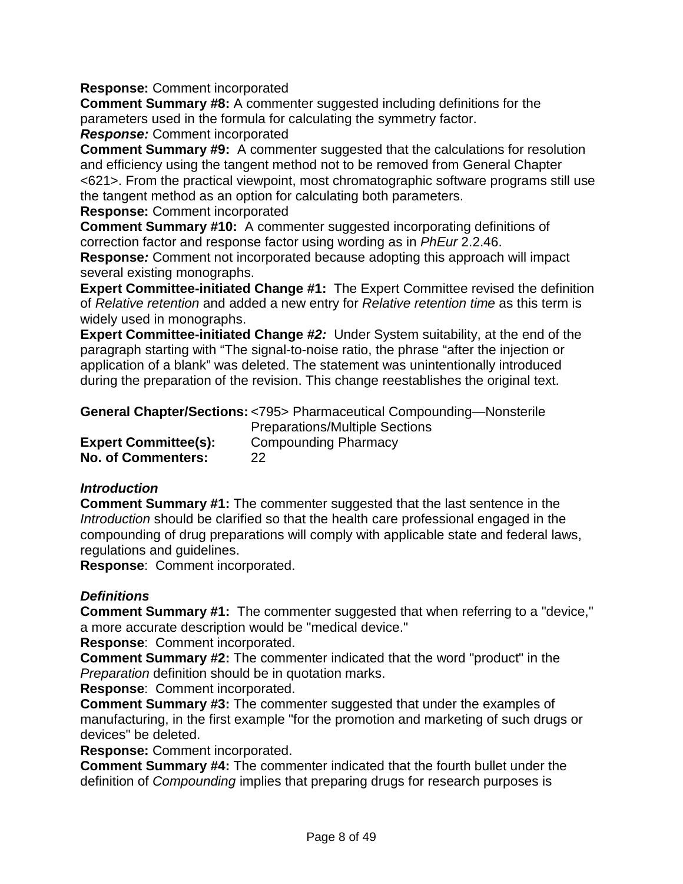#### **Response:** Comment incorporated

**Comment Summary #8:** A commenter suggested including definitions for the parameters used in the formula for calculating the symmetry factor.

#### *Response:* Comment incorporated

**Comment Summary #9:** A commenter suggested that the calculations for resolution and efficiency using the tangent method not to be removed from General Chapter <621>. From the practical viewpoint, most chromatographic software programs still use the tangent method as an option for calculating both parameters.

**Response:** Comment incorporated

**Comment Summary #10:** A commenter suggested incorporating definitions of correction factor and response factor using wording as in *PhEur* 2.2.46.

**Response***:* Comment not incorporated because adopting this approach will impact several existing monographs.

**Expert Committee-initiated Change #1:** The Expert Committee revised the definition of *Relative retention* and added a new entry for *Relative retention time* as this term is widely used in monographs.

**Expert Committee-initiated Change #***2:* Under System suitability, at the end of the paragraph starting with "The signal-to-noise ratio, the phrase "after the injection or application of a blank" was deleted. The statement was unintentionally introduced during the preparation of the revision. This change reestablishes the original text.

#### **General Chapter/Sections:** <795> Pharmaceutical Compounding—Nonsterile

**Expert Committee(s):** Compounding Pharmacy **No. of Commenters:** 22

Preparations/Multiple Sections

#### *Introduction*

**Comment Summary #1:** The commenter suggested that the last sentence in the *Introduction* should be clarified so that the health care professional engaged in the compounding of drug preparations will comply with applicable state and federal laws, regulations and guidelines.

**Response**: Comment incorporated.

# *Definitions*

**Comment Summary #1:** The commenter suggested that when referring to a "device," a more accurate description would be "medical device."

**Response**: Comment incorporated.

**Comment Summary #2:** The commenter indicated that the word "product" in the *Preparation* definition should be in quotation marks.

**Response**: Comment incorporated.

**Comment Summary #3:** The commenter suggested that under the examples of manufacturing, in the first example "for the promotion and marketing of such drugs or devices" be deleted.

**Response:** Comment incorporated.

**Comment Summary #4:** The commenter indicated that the fourth bullet under the definition of *Compounding* implies that preparing drugs for research purposes is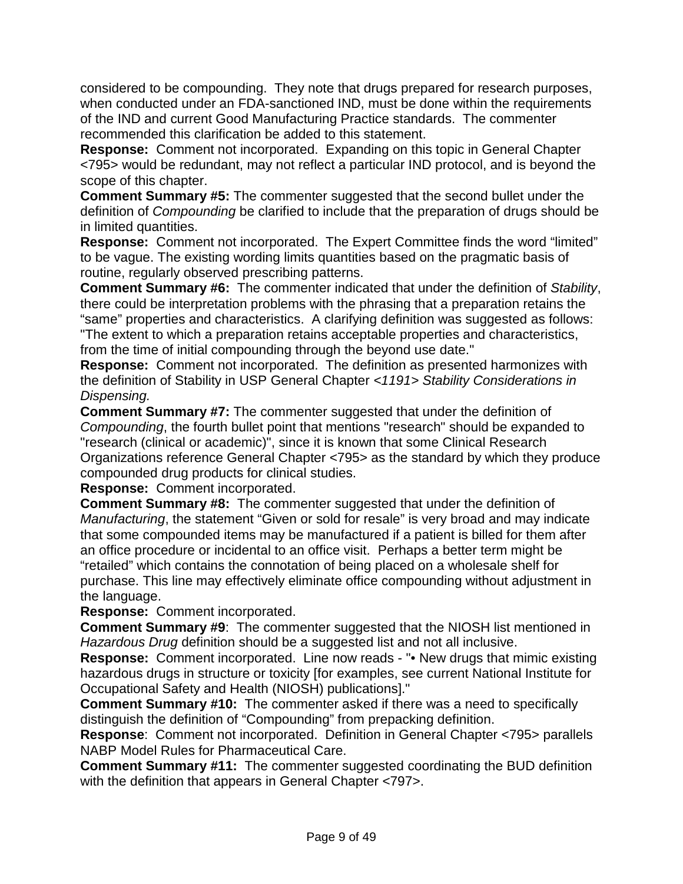considered to be compounding. They note that drugs prepared for research purposes, when conducted under an FDA-sanctioned IND, must be done within the requirements of the IND and current Good Manufacturing Practice standards. The commenter recommended this clarification be added to this statement.

**Response:** Comment not incorporated. Expanding on this topic in General Chapter <795> would be redundant, may not reflect a particular IND protocol, and is beyond the scope of this chapter.

**Comment Summary #5:** The commenter suggested that the second bullet under the definition of *Compounding* be clarified to include that the preparation of drugs should be in limited quantities.

**Response:** Comment not incorporated. The Expert Committee finds the word "limited" to be vague. The existing wording limits quantities based on the pragmatic basis of routine, regularly observed prescribing patterns.

**Comment Summary #6:** The commenter indicated that under the definition of *Stability*, there could be interpretation problems with the phrasing that a preparation retains the "same" properties and characteristics. A clarifying definition was suggested as follows: "The extent to which a preparation retains acceptable properties and characteristics, from the time of initial compounding through the beyond use date."

**Response:** Comment not incorporated. The definition as presented harmonizes with the definition of Stability in USP General Chapter *<1191> Stability Considerations in Dispensing.*

**Comment Summary #7:** The commenter suggested that under the definition of *Compounding*, the fourth bullet point that mentions "research" should be expanded to "research (clinical or academic)", since it is known that some Clinical Research Organizations reference General Chapter <795> as the standard by which they produce compounded drug products for clinical studies.

**Response:** Comment incorporated.

**Comment Summary #8:** The commenter suggested that under the definition of *Manufacturing*, the statement "Given or sold for resale" is very broad and may indicate that some compounded items may be manufactured if a patient is billed for them after an office procedure or incidental to an office visit. Perhaps a better term might be "retailed" which contains the connotation of being placed on a wholesale shelf for purchase. This line may effectively eliminate office compounding without adjustment in the language.

**Response:** Comment incorporated.

**Comment Summary #9**: The commenter suggested that the NIOSH list mentioned in *Hazardous Drug* definition should be a suggested list and not all inclusive.

**Response:** Comment incorporated. Line now reads - "• New drugs that mimic existing hazardous drugs in structure or toxicity [for examples, see current National Institute for Occupational Safety and Health (NIOSH) publications]."

**Comment Summary #10:** The commenter asked if there was a need to specifically distinguish the definition of "Compounding" from prepacking definition.

**Response**: Comment not incorporated. Definition in General Chapter <795> parallels NABP Model Rules for Pharmaceutical Care.

**Comment Summary #11:** The commenter suggested coordinating the BUD definition with the definition that appears in General Chapter <797>.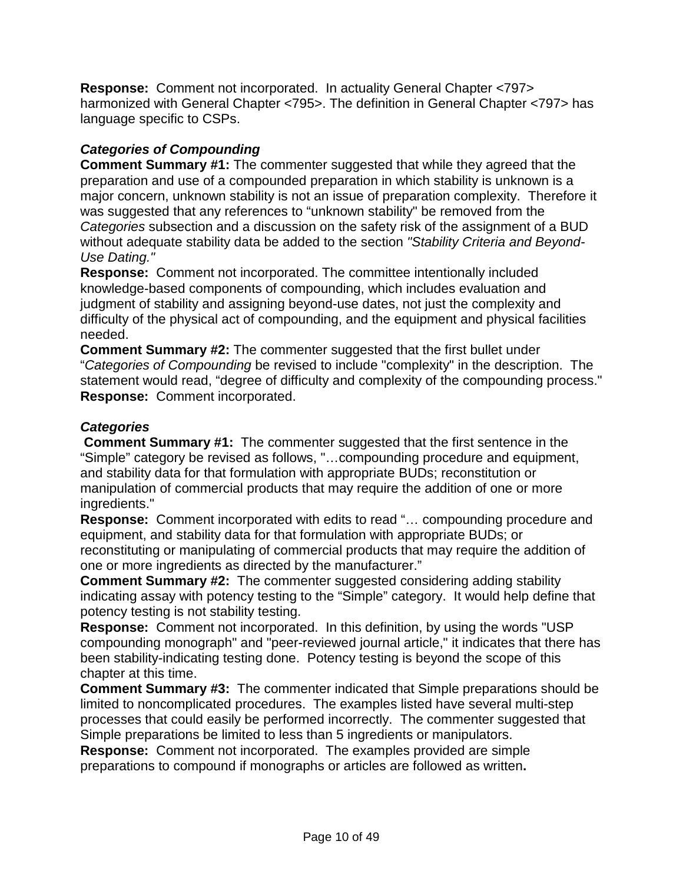**Response:** Comment not incorporated. In actuality General Chapter <797> harmonized with General Chapter <795>. The definition in General Chapter <797> has language specific to CSPs.

# *Categories of Compounding*

**Comment Summary #1:** The commenter suggested that while they agreed that the preparation and use of a compounded preparation in which stability is unknown is a major concern, unknown stability is not an issue of preparation complexity. Therefore it was suggested that any references to "unknown stability" be removed from the *Categories* subsection and a discussion on the safety risk of the assignment of a BUD without adequate stability data be added to the section *"Stability Criteria and Beyond-Use Dating."*

**Response:** Comment not incorporated. The committee intentionally included knowledge-based components of compounding, which includes evaluation and judgment of stability and assigning beyond-use dates, not just the complexity and difficulty of the physical act of compounding, and the equipment and physical facilities needed.

**Comment Summary #2:** The commenter suggested that the first bullet under "*Categories of Compounding* be revised to include "complexity" in the description. The statement would read, "degree of difficulty and complexity of the compounding process." **Response:** Comment incorporated.

# *Categories*

**Comment Summary #1:** The commenter suggested that the first sentence in the "Simple" category be revised as follows, "…compounding procedure and equipment, and stability data for that formulation with appropriate BUDs; reconstitution or manipulation of commercial products that may require the addition of one or more ingredients."

**Response:** Comment incorporated with edits to read "… compounding procedure and equipment, and stability data for that formulation with appropriate BUDs; or reconstituting or manipulating of commercial products that may require the addition of one or more ingredients as directed by the manufacturer."

**Comment Summary #2:** The commenter suggested considering adding stability indicating assay with potency testing to the "Simple" category. It would help define that potency testing is not stability testing.

**Response:** Comment not incorporated. In this definition, by using the words "USP compounding monograph" and "peer-reviewed journal article," it indicates that there has been stability-indicating testing done. Potency testing is beyond the scope of this chapter at this time.

**Comment Summary #3:** The commenter indicated that Simple preparations should be limited to noncomplicated procedures. The examples listed have several multi-step processes that could easily be performed incorrectly. The commenter suggested that Simple preparations be limited to less than 5 ingredients or manipulators.

**Response:** Comment not incorporated. The examples provided are simple preparations to compound if monographs or articles are followed as written**.**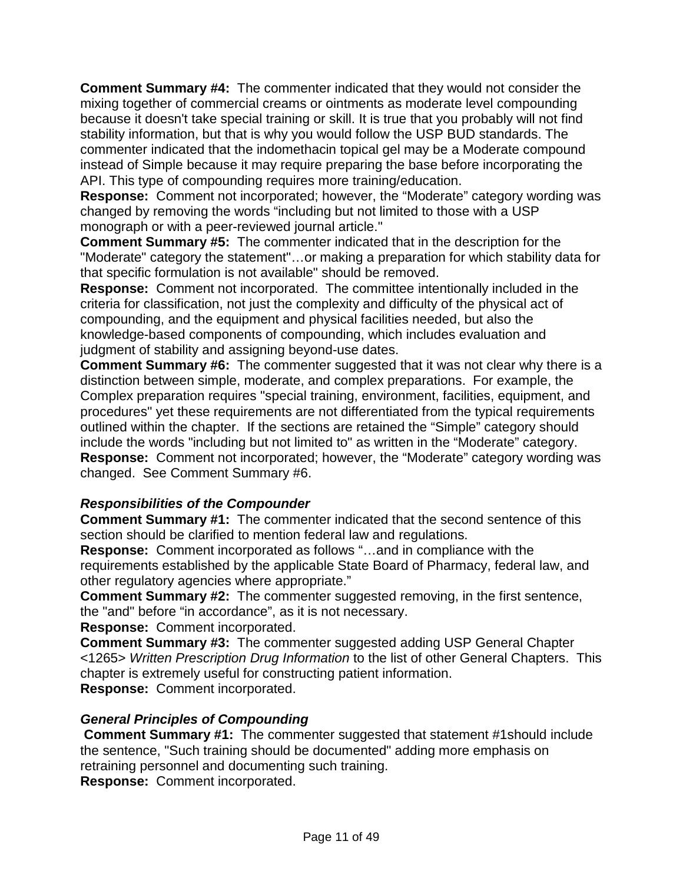**Comment Summary #4:** The commenter indicated that they would not consider the mixing together of commercial creams or ointments as moderate level compounding because it doesn't take special training or skill. It is true that you probably will not find stability information, but that is why you would follow the USP BUD standards. The commenter indicated that the indomethacin topical gel may be a Moderate compound instead of Simple because it may require preparing the base before incorporating the API. This type of compounding requires more training/education.

**Response:** Comment not incorporated; however, the "Moderate" category wording was changed by removing the words "including but not limited to those with a USP monograph or with a peer-reviewed journal article."

**Comment Summary #5:** The commenter indicated that in the description for the "Moderate" category the statement"…or making a preparation for which stability data for that specific formulation is not available" should be removed.

**Response:** Comment not incorporated. The committee intentionally included in the criteria for classification, not just the complexity and difficulty of the physical act of compounding, and the equipment and physical facilities needed, but also the knowledge-based components of compounding, which includes evaluation and judgment of stability and assigning beyond-use dates.

**Comment Summary #6:** The commenter suggested that it was not clear why there is a distinction between simple, moderate, and complex preparations. For example, the Complex preparation requires "special training, environment, facilities, equipment, and procedures" yet these requirements are not differentiated from the typical requirements outlined within the chapter. If the sections are retained the "Simple" category should include the words "including but not limited to" as written in the "Moderate" category. **Response:** Comment not incorporated; however, the "Moderate" category wording was changed. See Comment Summary #6.

#### *Responsibilities of the Compounder*

**Comment Summary #1:** The commenter indicated that the second sentence of this section should be clarified to mention federal law and regulations.

**Response:** Comment incorporated as follows "…and in compliance with the requirements established by the applicable State Board of Pharmacy, federal law, and other regulatory agencies where appropriate."

**Comment Summary #2:** The commenter suggested removing, in the first sentence, the "and" before "in accordance", as it is not necessary.

**Response:** Comment incorporated.

**Comment Summary #3:** The commenter suggested adding USP General Chapter <1265> *Written Prescription Drug Information* to the list of other General Chapters. This chapter is extremely useful for constructing patient information. **Response:**Comment incorporated.

#### *General Principles of Compounding*

**Comment Summary #1:** The commenter suggested that statement #1should include the sentence, "Such training should be documented" adding more emphasis on retraining personnel and documenting such training.

**Response:** Comment incorporated.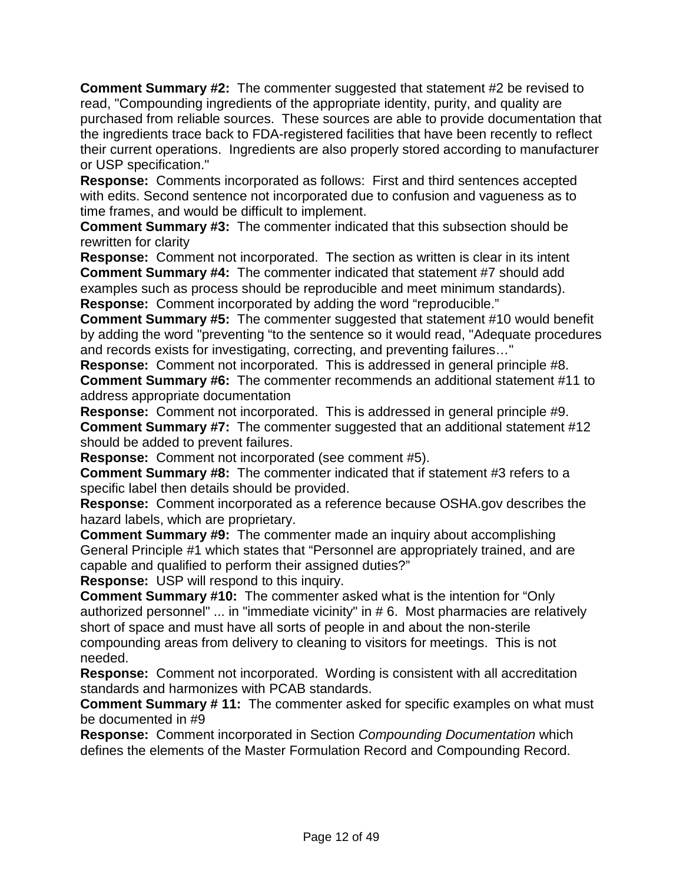**Comment Summary #2:** The commenter suggested that statement #2 be revised to read, "Compounding ingredients of the appropriate identity, purity, and quality are purchased from reliable sources. These sources are able to provide documentation that the ingredients trace back to FDA-registered facilities that have been recently to reflect their current operations. Ingredients are also properly stored according to manufacturer or USP specification."

**Response:** Comments incorporated as follows: First and third sentences accepted with edits. Second sentence not incorporated due to confusion and vagueness as to time frames, and would be difficult to implement.

**Comment Summary #3:** The commenter indicated that this subsection should be rewritten for clarity

**Response:** Comment not incorporated. The section as written is clear in its intent **Comment Summary #4:** The commenter indicated that statement #7 should add examples such as process should be reproducible and meet minimum standards). **Response:** Comment incorporated by adding the word "reproducible."

**Comment Summary #5:** The commenter suggested that statement #10 would benefit by adding the word "preventing "to the sentence so it would read, "Adequate procedures and records exists for investigating, correcting, and preventing failures…"

**Response:** Comment not incorporated. This is addressed in general principle #8. **Comment Summary #6:** The commenter recommends an additional statement #11 to address appropriate documentation

**Response:** Comment not incorporated. This is addressed in general principle #9. **Comment Summary #7:** The commenter suggested that an additional statement #12 should be added to prevent failures.

**Response:** Comment not incorporated (see comment #5).

**Comment Summary #8:** The commenter indicated that if statement #3 refers to a specific label then details should be provided.

**Response:** Comment incorporated as a reference because OSHA.gov describes the hazard labels, which are proprietary.

**Comment Summary #9:** The commenter made an inquiry about accomplishing General Principle #1 which states that "Personnel are appropriately trained, and are capable and qualified to perform their assigned duties?"

**Response:** USP will respond to this inquiry.

**Comment Summary #10:** The commenter asked what is the intention for "Only authorized personnel" ... in "immediate vicinity" in # 6. Most pharmacies are relatively short of space and must have all sorts of people in and about the non-sterile compounding areas from delivery to cleaning to visitors for meetings. This is not needed.

**Response:** Comment not incorporated. Wording is consistent with all accreditation standards and harmonizes with PCAB standards.

**Comment Summary # 11:** The commenter asked for specific examples on what must be documented in #9

**Response:** Comment incorporated in Section *Compounding Documentation* which defines the elements of the Master Formulation Record and Compounding Record.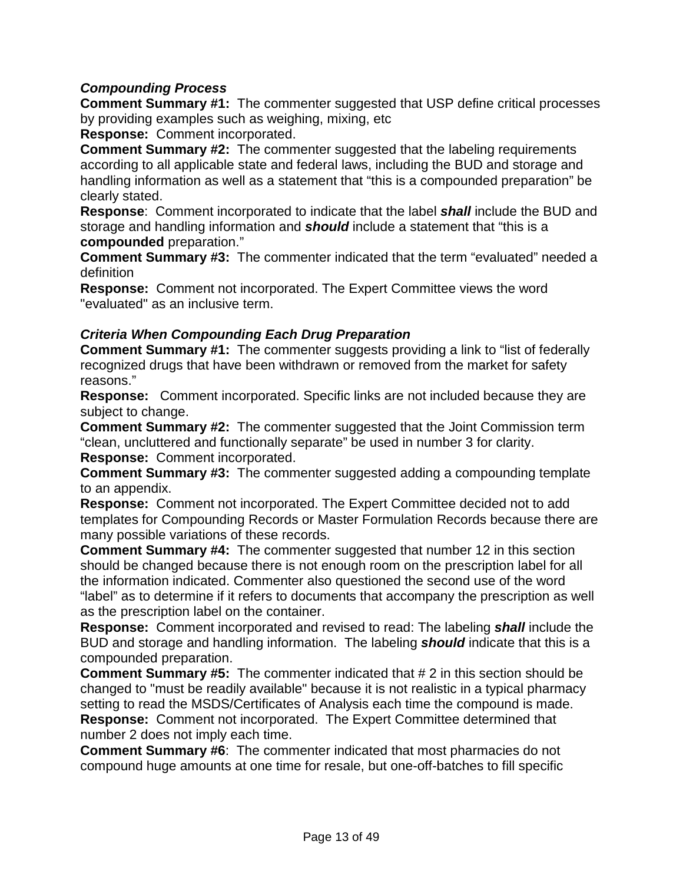# *Compounding Process*

**Comment Summary #1:** The commenter suggested that USP define critical processes by providing examples such as weighing, mixing, etc

**Response:** Comment incorporated.

**Comment Summary #2:** The commenter suggested that the labeling requirements according to all applicable state and federal laws, including the BUD and storage and handling information as well as a statement that "this is a compounded preparation" be clearly stated.

**Response**: Comment incorporated to indicate that the label *shall* include the BUD and storage and handling information and *should* include a statement that "this is a **compounded** preparation."

**Comment Summary #3:** The commenter indicated that the term "evaluated" needed a definition

**Response:** Comment not incorporated. The Expert Committee views the word "evaluated" as an inclusive term.

#### *Criteria When Compounding Each Drug Preparation*

**Comment Summary #1:** The commenter suggests providing a link to "list of federally recognized drugs that have been withdrawn or removed from the market for safety reasons."

**Response:** Comment incorporated. Specific links are not included because they are subject to change.

**Comment Summary #2:** The commenter suggested that the Joint Commission term "clean, uncluttered and functionally separate" be used in number 3 for clarity. **Response:** Comment incorporated.

**Comment Summary #3:** The commenter suggested adding a compounding template to an appendix.

**Response:** Comment not incorporated. The Expert Committee decided not to add templates for Compounding Records or Master Formulation Records because there are many possible variations of these records.

**Comment Summary #4:** The commenter suggested that number 12 in this section should be changed because there is not enough room on the prescription label for all the information indicated. Commenter also questioned the second use of the word "label" as to determine if it refers to documents that accompany the prescription as well as the prescription label on the container.

**Response:** Comment incorporated and revised to read: The labeling *shall* include the BUD and storage and handling information. The labeling *should* indicate that this is a compounded preparation.

**Comment Summary #5:** The commenter indicated that # 2 in this section should be changed to "must be readily available" because it is not realistic in a typical pharmacy setting to read the MSDS/Certificates of Analysis each time the compound is made. **Response:** Comment not incorporated. The Expert Committee determined that number 2 does not imply each time.

**Comment Summary #6**: The commenter indicated that most pharmacies do not compound huge amounts at one time for resale, but one-off-batches to fill specific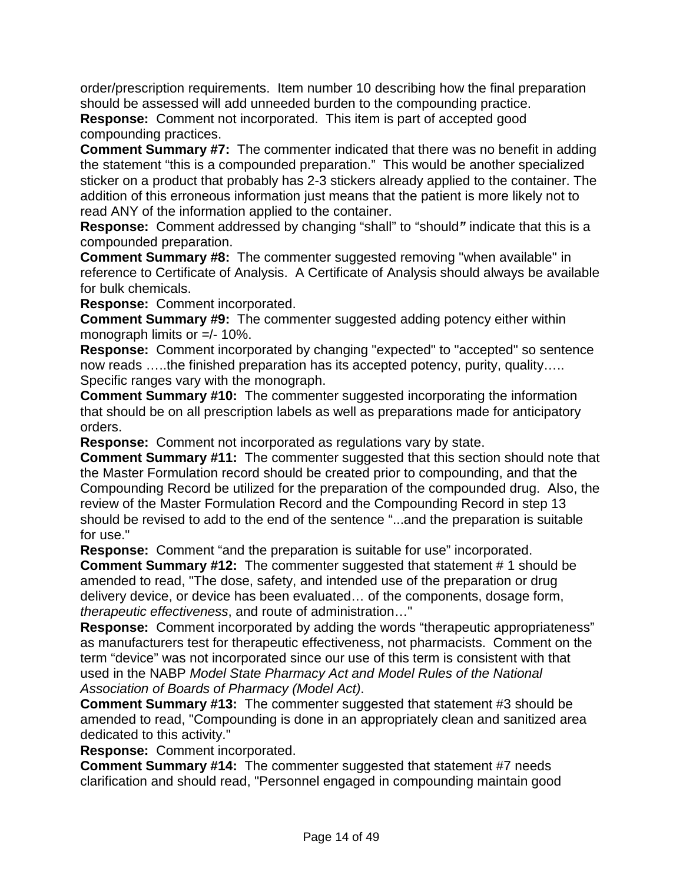order/prescription requirements. Item number 10 describing how the final preparation should be assessed will add unneeded burden to the compounding practice.

**Response:** Comment not incorporated. This item is part of accepted good compounding practices.

**Comment Summary #7:** The commenter indicated that there was no benefit in adding the statement "this is a compounded preparation." This would be another specialized sticker on a product that probably has 2-3 stickers already applied to the container. The addition of this erroneous information just means that the patient is more likely not to read ANY of the information applied to the container.

**Response:** Comment addressed by changing "shall" to "should*"* indicate that this is a compounded preparation.

**Comment Summary #8:** The commenter suggested removing "when available" in reference to Certificate of Analysis. A Certificate of Analysis should always be available for bulk chemicals.

**Response:** Comment incorporated.

**Comment Summary #9:** The commenter suggested adding potency either within monograph limits or =/- 10%.

**Response:** Comment incorporated by changing "expected" to "accepted" so sentence now reads …..the finished preparation has its accepted potency, purity, quality….. Specific ranges vary with the monograph.

**Comment Summary #10:** The commenter suggested incorporating the information that should be on all prescription labels as well as preparations made for anticipatory orders.

**Response:** Comment not incorporated as regulations vary by state.

**Comment Summary #11:** The commenter suggested that this section should note that the Master Formulation record should be created prior to compounding, and that the Compounding Record be utilized for the preparation of the compounded drug. Also, the review of the Master Formulation Record and the Compounding Record in step 13 should be revised to add to the end of the sentence "...and the preparation is suitable for use."

**Response:** Comment "and the preparation is suitable for use" incorporated. **Comment Summary #12:** The commenter suggested that statement # 1 should be amended to read, "The dose, safety, and intended use of the preparation or drug delivery device, or device has been evaluated… of the components, dosage form, *therapeutic effectiveness*, and route of administration…"

**Response:** Comment incorporated by adding the words "therapeutic appropriateness" as manufacturers test for therapeutic effectiveness, not pharmacists. Comment on the term "device" was not incorporated since our use of this term is consistent with that used in the NABP *Model State Pharmacy Act and Model Rules of the National Association of Boards of Pharmacy (Model Act)*.

**Comment Summary #13:** The commenter suggested that statement #3 should be amended to read, "Compounding is done in an appropriately clean and sanitized area dedicated to this activity."

**Response:** Comment incorporated.

**Comment Summary #14:** The commenter suggested that statement #7 needs clarification and should read, "Personnel engaged in compounding maintain good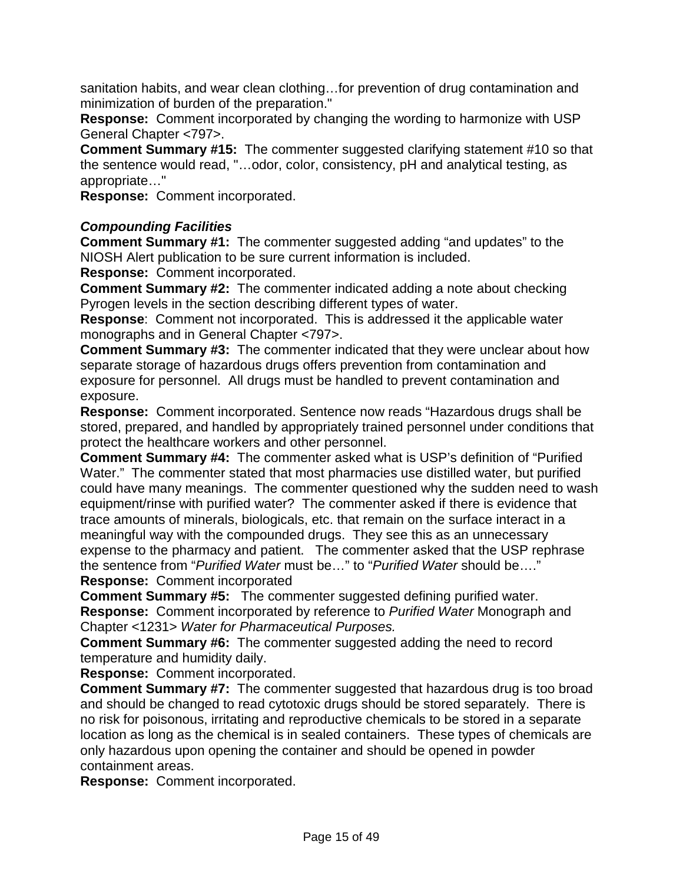sanitation habits, and wear clean clothing…for prevention of drug contamination and minimization of burden of the preparation."

**Response:** Comment incorporated by changing the wording to harmonize with USP General Chapter <797>.

**Comment Summary #15:** The commenter suggested clarifying statement #10 so that the sentence would read, "…odor, color, consistency, pH and analytical testing, as appropriate…"

**Response:** Comment incorporated.

#### *Compounding Facilities*

**Comment Summary #1:** The commenter suggested adding "and updates" to the NIOSH Alert publication to be sure current information is included.

**Response:** Comment incorporated.

**Comment Summary #2:** The commenter indicated adding a note about checking Pyrogen levels in the section describing different types of water.

**Response**: Comment not incorporated. This is addressed it the applicable water monographs and in General Chapter <797>.

**Comment Summary #3:** The commenter indicated that they were unclear about how separate storage of hazardous drugs offers prevention from contamination and exposure for personnel. All drugs must be handled to prevent contamination and exposure.

**Response:** Comment incorporated. Sentence now reads "Hazardous drugs shall be stored, prepared, and handled by appropriately trained personnel under conditions that protect the healthcare workers and other personnel.

**Comment Summary #4:** The commenter asked what is USP's definition of "Purified Water." The commenter stated that most pharmacies use distilled water, but purified could have many meanings. The commenter questioned why the sudden need to wash equipment/rinse with purified water? The commenter asked if there is evidence that trace amounts of minerals, biologicals, etc. that remain on the surface interact in a meaningful way with the compounded drugs. They see this as an unnecessary expense to the pharmacy and patient. The commenter asked that the USP rephrase the sentence from "*Purified Water* must be…" to "*Purified Water* should be…."

**Response:** Comment incorporated

**Comment Summary #5:** The commenter suggested defining purified water. **Response:** Comment incorporated by reference to *Purified Water* Monograph and Chapter <1231> *Water for Pharmaceutical Purposes.*

**Comment Summary #6:** The commenter suggested adding the need to record temperature and humidity daily.

**Response:** Comment incorporated.

**Comment Summary #7:** The commenter suggested that hazardous drug is too broad and should be changed to read cytotoxic drugs should be stored separately. There is no risk for poisonous, irritating and reproductive chemicals to be stored in a separate location as long as the chemical is in sealed containers. These types of chemicals are only hazardous upon opening the container and should be opened in powder containment areas.

**Response:** Comment incorporated.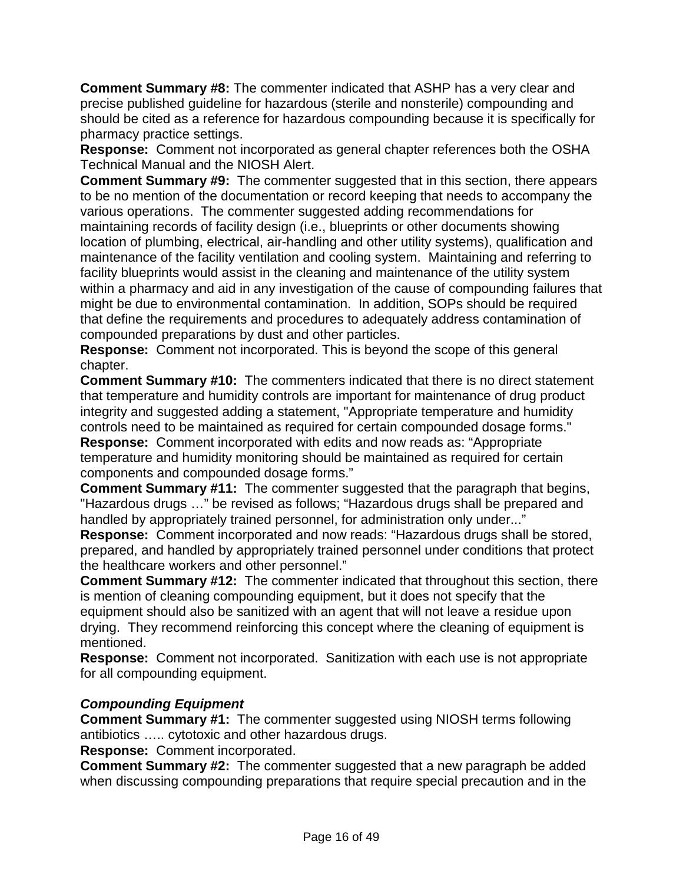**Comment Summary #8:** The commenter indicated that ASHP has a very clear and precise published guideline for hazardous (sterile and nonsterile) compounding and should be cited as a reference for hazardous compounding because it is specifically for pharmacy practice settings.

**Response:** Comment not incorporated as general chapter references both the OSHA Technical Manual and the NIOSH Alert.

**Comment Summary #9:** The commenter suggested that in this section, there appears to be no mention of the documentation or record keeping that needs to accompany the various operations. The commenter suggested adding recommendations for maintaining records of facility design (i.e., blueprints or other documents showing location of plumbing, electrical, air-handling and other utility systems), qualification and maintenance of the facility ventilation and cooling system. Maintaining and referring to facility blueprints would assist in the cleaning and maintenance of the utility system within a pharmacy and aid in any investigation of the cause of compounding failures that might be due to environmental contamination. In addition, SOPs should be required that define the requirements and procedures to adequately address contamination of compounded preparations by dust and other particles.

**Response:** Comment not incorporated. This is beyond the scope of this general chapter.

**Comment Summary #10:** The commenters indicated that there is no direct statement that temperature and humidity controls are important for maintenance of drug product integrity and suggested adding a statement, "Appropriate temperature and humidity controls need to be maintained as required for certain compounded dosage forms." **Response:** Comment incorporated with edits and now reads as: "Appropriate temperature and humidity monitoring should be maintained as required for certain components and compounded dosage forms."

**Comment Summary #11:** The commenter suggested that the paragraph that begins, "Hazardous drugs …" be revised as follows; "Hazardous drugs shall be prepared and handled by appropriately trained personnel, for administration only under..."

**Response:** Comment incorporated and now reads: "Hazardous drugs shall be stored, prepared, and handled by appropriately trained personnel under conditions that protect the healthcare workers and other personnel."

**Comment Summary #12:** The commenter indicated that throughout this section, there is mention of cleaning compounding equipment, but it does not specify that the equipment should also be sanitized with an agent that will not leave a residue upon drying. They recommend reinforcing this concept where the cleaning of equipment is mentioned.

**Response:** Comment not incorporated. Sanitization with each use is not appropriate for all compounding equipment.

# *Compounding Equipment*

**Comment Summary #1:** The commenter suggested using NIOSH terms following antibiotics ….. cytotoxic and other hazardous drugs.

**Response:** Comment incorporated.

**Comment Summary #2:** The commenter suggested that a new paragraph be added when discussing compounding preparations that require special precaution and in the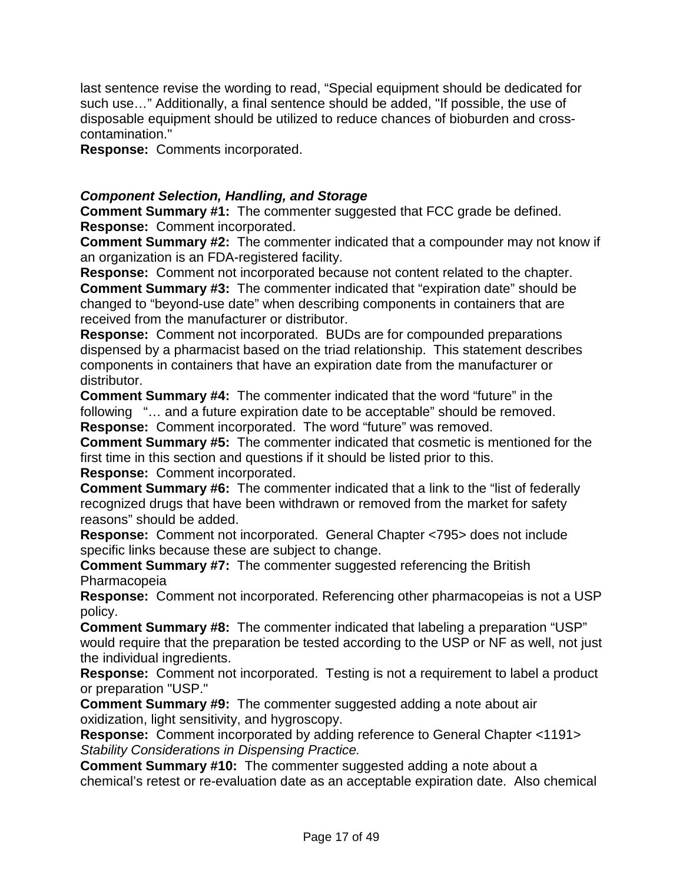last sentence revise the wording to read, "Special equipment should be dedicated for such use…" Additionally, a final sentence should be added, "If possible, the use of disposable equipment should be utilized to reduce chances of bioburden and crosscontamination."

**Response:** Comments incorporated.

#### *Component Selection, Handling, and Storage*

**Comment Summary #1:** The commenter suggested that FCC grade be defined. **Response:** Comment incorporated.

**Comment Summary #2:** The commenter indicated that a compounder may not know if an organization is an FDA-registered facility.

**Response:** Comment not incorporated because not content related to the chapter. **Comment Summary #3:** The commenter indicated that "expiration date" should be changed to "beyond-use date" when describing components in containers that are received from the manufacturer or distributor.

**Response:** Comment not incorporated. BUDs are for compounded preparations dispensed by a pharmacist based on the triad relationship. This statement describes components in containers that have an expiration date from the manufacturer or distributor.

**Comment Summary #4:** The commenter indicated that the word "future" in the following "… and a future expiration date to be acceptable" should be removed. **Response:** Comment incorporated. The word "future" was removed.

**Comment Summary #5:** The commenter indicated that cosmetic is mentioned for the first time in this section and questions if it should be listed prior to this.

**Response:** Comment incorporated.

**Comment Summary #6:** The commenter indicated that a link to the "list of federally recognized drugs that have been withdrawn or removed from the market for safety reasons" should be added.

**Response:** Comment not incorporated. General Chapter <795> does not include specific links because these are subject to change.

**Comment Summary #7:** The commenter suggested referencing the British Pharmacopeia

**Response:** Comment not incorporated. Referencing other pharmacopeias is not a USP policy.

**Comment Summary #8:** The commenter indicated that labeling a preparation "USP" would require that the preparation be tested according to the USP or NF as well, not just the individual ingredients.

**Response:** Comment not incorporated. Testing is not a requirement to label a product or preparation "USP."

**Comment Summary #9:** The commenter suggested adding a note about air oxidization, light sensitivity, and hygroscopy.

**Response:** Comment incorporated by adding reference to General Chapter <1191> *Stability Considerations in Dispensing Practice.*

**Comment Summary #10:** The commenter suggested adding a note about a chemical's retest or re-evaluation date as an acceptable expiration date. Also chemical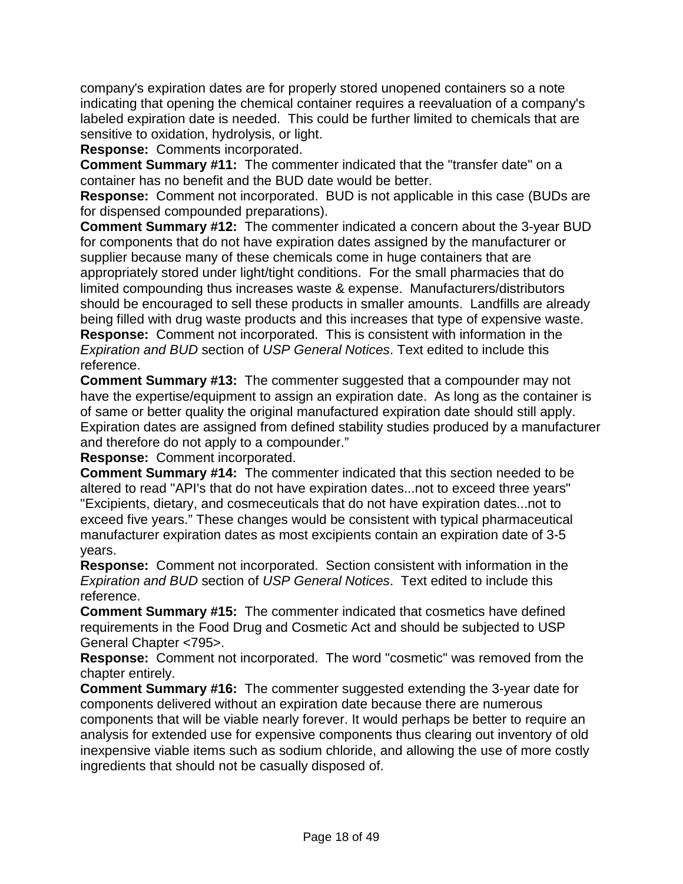company's expiration dates are for properly stored unopened containers so a note indicating that opening the chemical container requires a reevaluation of a company's labeled expiration date is needed. This could be further limited to chemicals that are sensitive to oxidation, hydrolysis, or light.

**Response:** Comments incorporated.

**Comment Summary #11:** The commenter indicated that the "transfer date" on a container has no benefit and the BUD date would be better.

**Response:** Comment not incorporated. BUD is not applicable in this case (BUDs are for dispensed compounded preparations).

**Comment Summary #12:** The commenter indicated a concern about the 3-year BUD for components that do not have expiration dates assigned by the manufacturer or supplier because many of these chemicals come in huge containers that are appropriately stored under light/tight conditions. For the small pharmacies that do limited compounding thus increases waste & expense. Manufacturers/distributors should be encouraged to sell these products in smaller amounts. Landfills are already being filled with drug waste products and this increases that type of expensive waste. **Response:** Comment not incorporated. This is consistent with information in the *Expiration and BUD* section of *USP General Notices*. Text edited to include this reference.

**Comment Summary #13:** The commenter suggested that a compounder may not have the expertise/equipment to assign an expiration date. As long as the container is of same or better quality the original manufactured expiration date should still apply. Expiration dates are assigned from defined stability studies produced by a manufacturer and therefore do not apply to a compounder."

**Response:** Comment incorporated.

**Comment Summary #14:** The commenter indicated that this section needed to be altered to read "API's that do not have expiration dates...not to exceed three years" "Excipients, dietary, and cosmeceuticals that do not have expiration dates...not to exceed five years." These changes would be consistent with typical pharmaceutical manufacturer expiration dates as most excipients contain an expiration date of 3-5 years.

**Response:** Comment not incorporated. Section consistent with information in the *Expiration and BUD* section of *USP General Notices*. Text edited to include this reference.

**Comment Summary #15:** The commenter indicated that cosmetics have defined requirements in the Food Drug and Cosmetic Act and should be subjected to USP General Chapter <795>.

**Response:** Comment not incorporated. The word "cosmetic" was removed from the chapter entirely.

**Comment Summary #16:** The commenter suggested extending the 3-year date for components delivered without an expiration date because there are numerous components that will be viable nearly forever. It would perhaps be better to require an analysis for extended use for expensive components thus clearing out inventory of old inexpensive viable items such as sodium chloride, and allowing the use of more costly ingredients that should not be casually disposed of.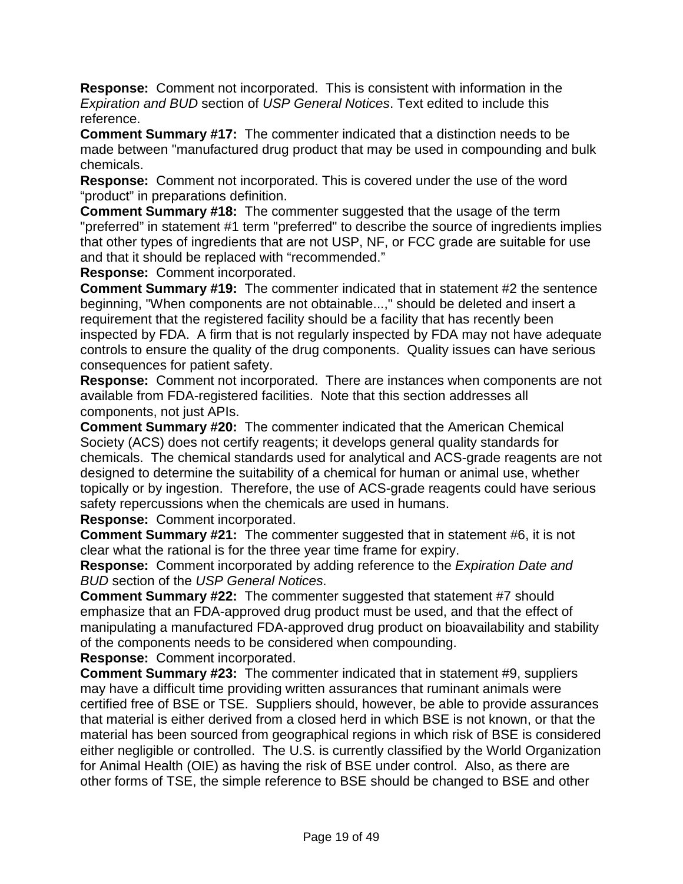**Response:** Comment not incorporated. This is consistent with information in the *Expiration and BUD* section of *USP General Notices*. Text edited to include this reference.

**Comment Summary #17:** The commenter indicated that a distinction needs to be made between "manufactured drug product that may be used in compounding and bulk chemicals.

**Response:** Comment not incorporated. This is covered under the use of the word "product" in preparations definition.

**Comment Summary #18:** The commenter suggested that the usage of the term "preferred" in statement #1 term "preferred" to describe the source of ingredients implies that other types of ingredients that are not USP, NF, or FCC grade are suitable for use and that it should be replaced with "recommended."

**Response:** Comment incorporated.

**Comment Summary #19:** The commenter indicated that in statement #2 the sentence beginning, "When components are not obtainable...," should be deleted and insert a requirement that the registered facility should be a facility that has recently been inspected by FDA. A firm that is not regularly inspected by FDA may not have adequate controls to ensure the quality of the drug components. Quality issues can have serious consequences for patient safety.

**Response:** Comment not incorporated. There are instances when components are not available from FDA-registered facilities. Note that this section addresses all components, not just APIs.

**Comment Summary #20:** The commenter indicated that the American Chemical Society (ACS) does not certify reagents; it develops general quality standards for chemicals. The chemical standards used for analytical and ACS-grade reagents are not designed to determine the suitability of a chemical for human or animal use, whether topically or by ingestion. Therefore, the use of ACS-grade reagents could have serious safety repercussions when the chemicals are used in humans.

**Response:** Comment incorporated.

**Comment Summary #21:** The commenter suggested that in statement #6, it is not clear what the rational is for the three year time frame for expiry.

**Response:** Comment incorporated by adding reference to the *Expiration Date and BUD* section of the *USP General Notices*.

**Comment Summary #22:** The commenter suggested that statement #7 should emphasize that an FDA-approved drug product must be used, and that the effect of manipulating a manufactured FDA-approved drug product on bioavailability and stability of the components needs to be considered when compounding.

**Response:** Comment incorporated.

**Comment Summary #23:** The commenter indicated that in statement #9, suppliers may have a difficult time providing written assurances that ruminant animals were certified free of BSE or TSE. Suppliers should, however, be able to provide assurances that material is either derived from a closed herd in which BSE is not known, or that the material has been sourced from geographical regions in which risk of BSE is considered either negligible or controlled. The U.S. is currently classified by the World Organization for Animal Health (OIE) as having the risk of BSE under control. Also, as there are other forms of TSE, the simple reference to BSE should be changed to BSE and other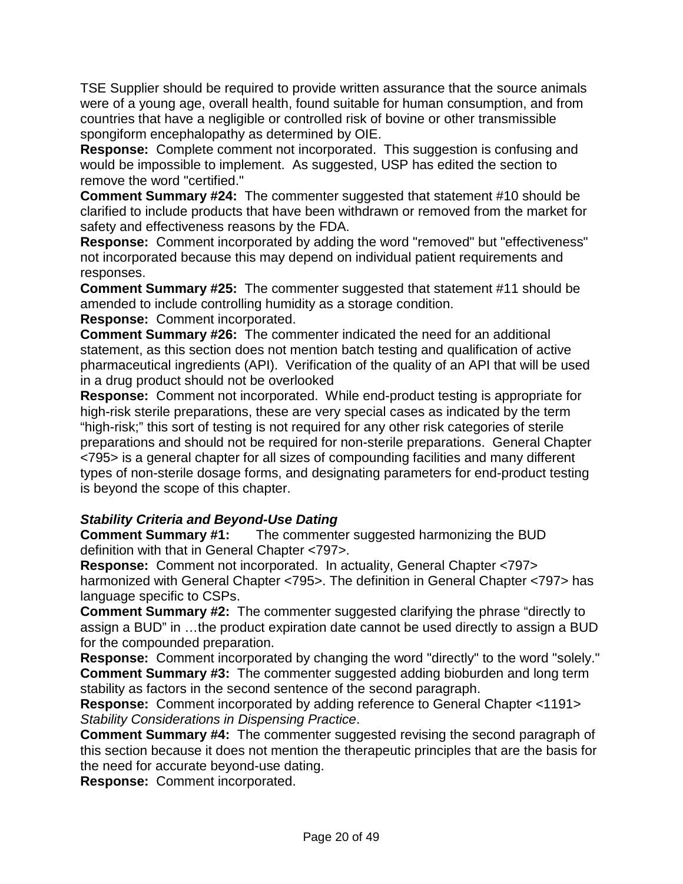TSE Supplier should be required to provide written assurance that the source animals were of a young age, overall health, found suitable for human consumption, and from countries that have a negligible or controlled risk of bovine or other transmissible spongiform encephalopathy as determined by OIE.

**Response:** Complete comment not incorporated. This suggestion is confusing and would be impossible to implement. As suggested, USP has edited the section to remove the word "certified."

**Comment Summary #24:** The commenter suggested that statement #10 should be clarified to include products that have been withdrawn or removed from the market for safety and effectiveness reasons by the FDA.

**Response:** Comment incorporated by adding the word "removed" but "effectiveness" not incorporated because this may depend on individual patient requirements and responses.

**Comment Summary #25:** The commenter suggested that statement #11 should be amended to include controlling humidity as a storage condition.

**Response:** Comment incorporated.

**Comment Summary #26:** The commenter indicated the need for an additional statement, as this section does not mention batch testing and qualification of active pharmaceutical ingredients (API). Verification of the quality of an API that will be used in a drug product should not be overlooked

**Response:** Comment not incorporated. While end-product testing is appropriate for high-risk sterile preparations, these are very special cases as indicated by the term "high-risk;" this sort of testing is not required for any other risk categories of sterile preparations and should not be required for non-sterile preparations. General Chapter <795> is a general chapter for all sizes of compounding facilities and many different types of non-sterile dosage forms, and designating parameters for end-product testing is beyond the scope of this chapter.

*Stability Criteria and Beyond-Use Dating* The commenter suggested harmonizing the BUD definition with that in General Chapter <797>.

**Response:** Comment not incorporated. In actuality, General Chapter <797> harmonized with General Chapter <795>. The definition in General Chapter <797> has language specific to CSPs.

**Comment Summary #2:** The commenter suggested clarifying the phrase "directly to assign a BUD" in …the product expiration date cannot be used directly to assign a BUD for the compounded preparation.

**Response:** Comment incorporated by changing the word "directly" to the word "solely." **Comment Summary #3:** The commenter suggested adding bioburden and long term stability as factors in the second sentence of the second paragraph.

**Response:** Comment incorporated by adding reference to General Chapter <1191> *Stability Considerations in Dispensing Practice*.

**Comment Summary #4:** The commenter suggested revising the second paragraph of this section because it does not mention the therapeutic principles that are the basis for the need for accurate beyond-use dating.

**Response:** Comment incorporated.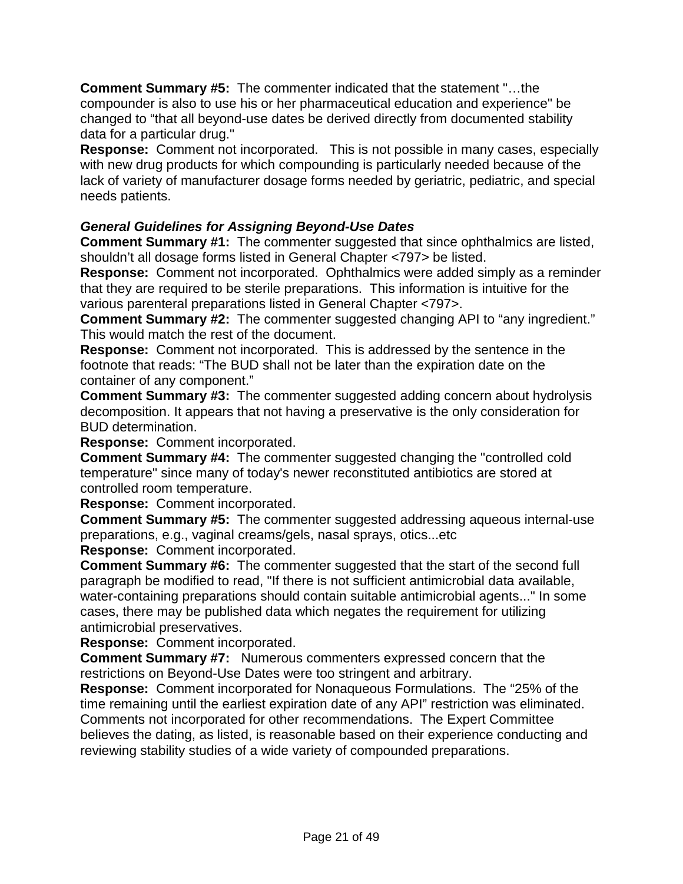**Comment Summary #5:** The commenter indicated that the statement "…the compounder is also to use his or her pharmaceutical education and experience" be changed to "that all beyond-use dates be derived directly from documented stability data for a particular drug."

**Response:** Comment not incorporated. This is not possible in many cases, especially with new drug products for which compounding is particularly needed because of the lack of variety of manufacturer dosage forms needed by geriatric, pediatric, and special needs patients.

# *General Guidelines for Assigning Beyond-Use Dates*

**Comment Summary #1:** The commenter suggested that since ophthalmics are listed, shouldn't all dosage forms listed in General Chapter <797> be listed.

**Response:** Comment not incorporated. Ophthalmics were added simply as a reminder that they are required to be sterile preparations. This information is intuitive for the various parenteral preparations listed in General Chapter <797>.

**Comment Summary #2:** The commenter suggested changing API to "any ingredient." This would match the rest of the document.

**Response:** Comment not incorporated. This is addressed by the sentence in the footnote that reads: "The BUD shall not be later than the expiration date on the container of any component."

**Comment Summary #3:** The commenter suggested adding concern about hydrolysis decomposition. It appears that not having a preservative is the only consideration for BUD determination.

**Response:** Comment incorporated.

**Comment Summary #4:** The commenter suggested changing the "controlled cold temperature" since many of today's newer reconstituted antibiotics are stored at controlled room temperature.

**Response:** Comment incorporated.

**Comment Summary #5:** The commenter suggested addressing aqueous internal-use preparations, e.g., vaginal creams/gels, nasal sprays, otics...etc

**Response:** Comment incorporated.

**Comment Summary #6:** The commenter suggested that the start of the second full paragraph be modified to read, "If there is not sufficient antimicrobial data available, water-containing preparations should contain suitable antimicrobial agents..." In some cases, there may be published data which negates the requirement for utilizing antimicrobial preservatives.

**Response:** Comment incorporated.

**Comment Summary #7:** Numerous commenters expressed concern that the restrictions on Beyond-Use Dates were too stringent and arbitrary.

**Response:** Comment incorporated for Nonaqueous Formulations. The "25% of the time remaining until the earliest expiration date of any API" restriction was eliminated. Comments not incorporated for other recommendations. The Expert Committee believes the dating, as listed, is reasonable based on their experience conducting and reviewing stability studies of a wide variety of compounded preparations.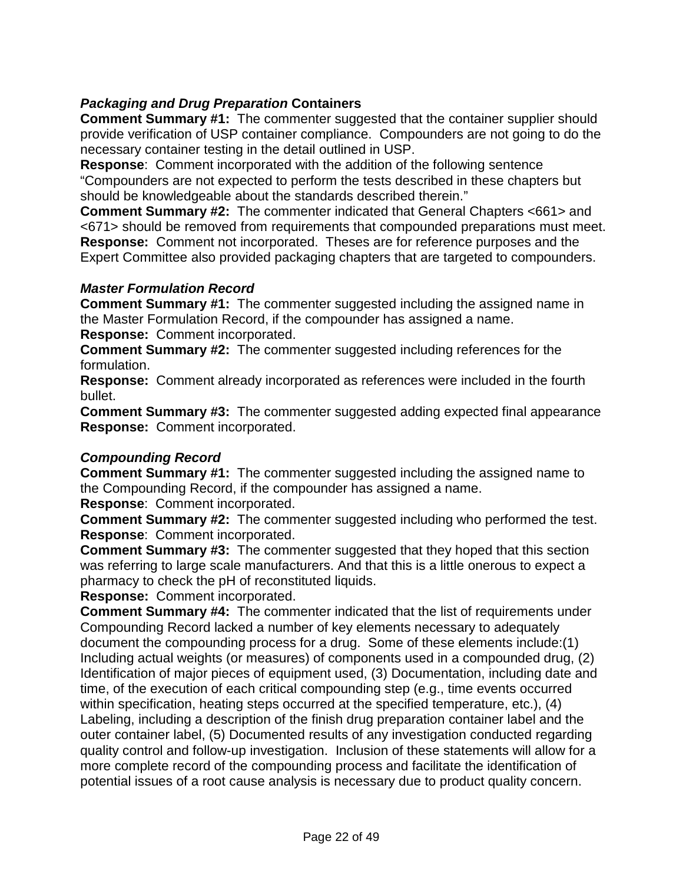# *Packaging and Drug Preparation* **Containers**

**Comment Summary #1:** The commenter suggested that the container supplier should provide verification of USP container compliance. Compounders are not going to do the necessary container testing in the detail outlined in USP.

**Response**: Comment incorporated with the addition of the following sentence "Compounders are not expected to perform the tests described in these chapters but should be knowledgeable about the standards described therein."

**Comment Summary #2:** The commenter indicated that General Chapters <661> and <671> should be removed from requirements that compounded preparations must meet. **Response:** Comment not incorporated. Theses are for reference purposes and the Expert Committee also provided packaging chapters that are targeted to compounders.

#### *Master Formulation Record*

**Comment Summary #1:** The commenter suggested including the assigned name in the Master Formulation Record, if the compounder has assigned a name. **Response:** Comment incorporated.

**Comment Summary #2:** The commenter suggested including references for the formulation.

**Response:** Comment already incorporated as references were included in the fourth bullet.

**Comment Summary #3:** The commenter suggested adding expected final appearance **Response:** Comment incorporated.

# *Compounding Record*

**Comment Summary #1:** The commenter suggested including the assigned name to the Compounding Record, if the compounder has assigned a name.

**Response**: Comment incorporated.

**Comment Summary #2:** The commenter suggested including who performed the test. **Response**: Comment incorporated.

**Comment Summary #3:** The commenter suggested that they hoped that this section was referring to large scale manufacturers. And that this is a little onerous to expect a pharmacy to check the pH of reconstituted liquids.

**Response:** Comment incorporated.

**Comment Summary #4:** The commenter indicated that the list of requirements under Compounding Record lacked a number of key elements necessary to adequately document the compounding process for a drug. Some of these elements include:(1) Including actual weights (or measures) of components used in a compounded drug, (2) Identification of major pieces of equipment used, (3) Documentation, including date and time, of the execution of each critical compounding step (e.g., time events occurred within specification, heating steps occurred at the specified temperature, etc.), (4) Labeling, including a description of the finish drug preparation container label and the outer container label, (5) Documented results of any investigation conducted regarding quality control and follow-up investigation. Inclusion of these statements will allow for a more complete record of the compounding process and facilitate the identification of potential issues of a root cause analysis is necessary due to product quality concern.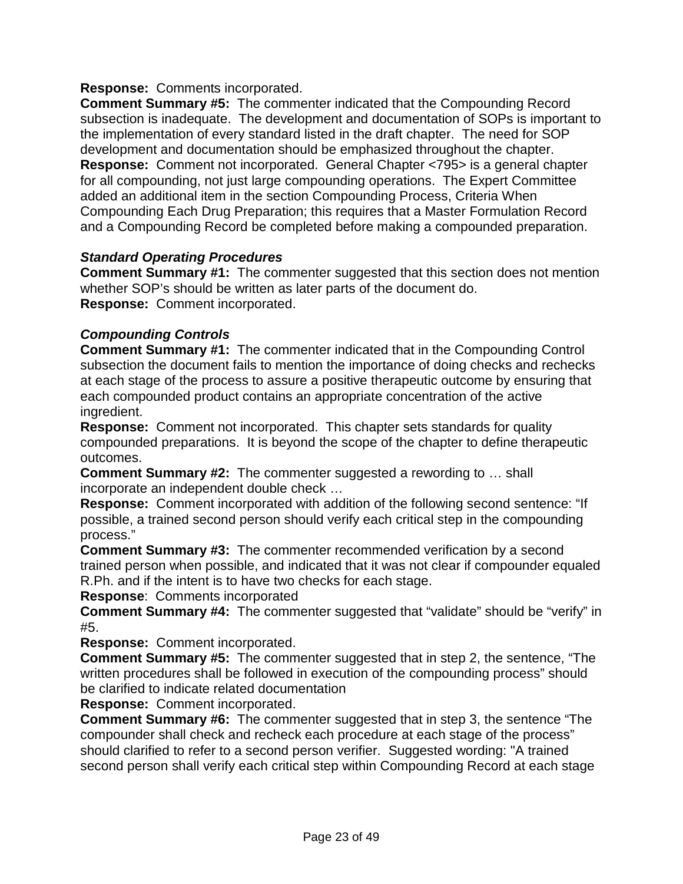**Response:** Comments incorporated.

**Comment Summary #5:** The commenter indicated that the Compounding Record subsection is inadequate. The development and documentation of SOPs is important to the implementation of every standard listed in the draft chapter. The need for SOP development and documentation should be emphasized throughout the chapter. **Response:** Comment not incorporated. General Chapter <795> is a general chapter for all compounding, not just large compounding operations. The Expert Committee added an additional item in the section Compounding Process, Criteria When Compounding Each Drug Preparation; this requires that a Master Formulation Record and a Compounding Record be completed before making a compounded preparation.

# *Standard Operating Procedures*

**Comment Summary #1:** The commenter suggested that this section does not mention whether SOP's should be written as later parts of the document do. **Response:** Comment incorporated.

#### *Compounding Controls*

**Comment Summary #1:** The commenter indicated that in the Compounding Control subsection the document fails to mention the importance of doing checks and rechecks at each stage of the process to assure a positive therapeutic outcome by ensuring that each compounded product contains an appropriate concentration of the active ingredient.

**Response:** Comment not incorporated. This chapter sets standards for quality compounded preparations. It is beyond the scope of the chapter to define therapeutic outcomes.

**Comment Summary #2:** The commenter suggested a rewording to … shall incorporate an independent double check …

**Response:** Comment incorporated with addition of the following second sentence: "If possible, a trained second person should verify each critical step in the compounding process."

**Comment Summary #3:** The commenter recommended verification by a second trained person when possible, and indicated that it was not clear if compounder equaled R.Ph. and if the intent is to have two checks for each stage.

**Response**: Comments incorporated

**Comment Summary #4:** The commenter suggested that "validate" should be "verify" in #5.

**Response:** Comment incorporated.

**Comment Summary #5:** The commenter suggested that in step 2, the sentence, "The written procedures shall be followed in execution of the compounding process" should be clarified to indicate related documentation

**Response:** Comment incorporated.

**Comment Summary #6:** The commenter suggested that in step 3, the sentence "The compounder shall check and recheck each procedure at each stage of the process" should clarified to refer to a second person verifier. Suggested wording: "A trained second person shall verify each critical step within Compounding Record at each stage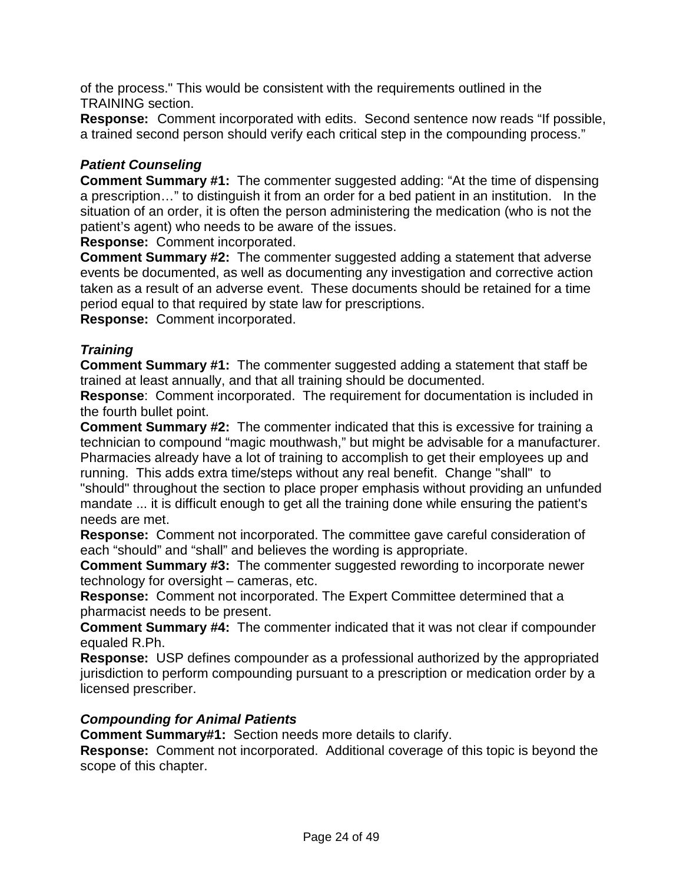of the process." This would be consistent with the requirements outlined in the TRAINING section.

**Response:** Comment incorporated with edits. Second sentence now reads "If possible, a trained second person should verify each critical step in the compounding process."

# *Patient Counseling*

**Comment Summary #1:** The commenter suggested adding: "At the time of dispensing a prescription…" to distinguish it from an order for a bed patient in an institution. In the situation of an order, it is often the person administering the medication (who is not the patient's agent) who needs to be aware of the issues.

**Response:** Comment incorporated.

**Comment Summary #2:** The commenter suggested adding a statement that adverse events be documented, as well as documenting any investigation and corrective action taken as a result of an adverse event. These documents should be retained for a time period equal to that required by state law for prescriptions.

**Response:** Comment incorporated.

#### *Training*

**Comment Summary #1:** The commenter suggested adding a statement that staff be trained at least annually, and that all training should be documented.

**Response**: Comment incorporated. The requirement for documentation is included in the fourth bullet point.

**Comment Summary #2:** The commenter indicated that this is excessive for training a technician to compound "magic mouthwash," but might be advisable for a manufacturer. Pharmacies already have a lot of training to accomplish to get their employees up and running. This adds extra time/steps without any real benefit. Change "shall" to

"should" throughout the section to place proper emphasis without providing an unfunded mandate ... it is difficult enough to get all the training done while ensuring the patient's needs are met.

**Response:** Comment not incorporated. The committee gave careful consideration of each "should" and "shall" and believes the wording is appropriate.

**Comment Summary #3:** The commenter suggested rewording to incorporate newer technology for oversight – cameras, etc.

**Response:** Comment not incorporated. The Expert Committee determined that a pharmacist needs to be present.

**Comment Summary #4:** The commenter indicated that it was not clear if compounder equaled R.Ph.

**Response:** USP defines compounder as a professional authorized by the appropriated jurisdiction to perform compounding pursuant to a prescription or medication order by a licensed prescriber.

#### *Compounding for Animal Patients*

**Comment Summary#1:** Section needs more details to clarify.

**Response:** Comment not incorporated. Additional coverage of this topic is beyond the scope of this chapter.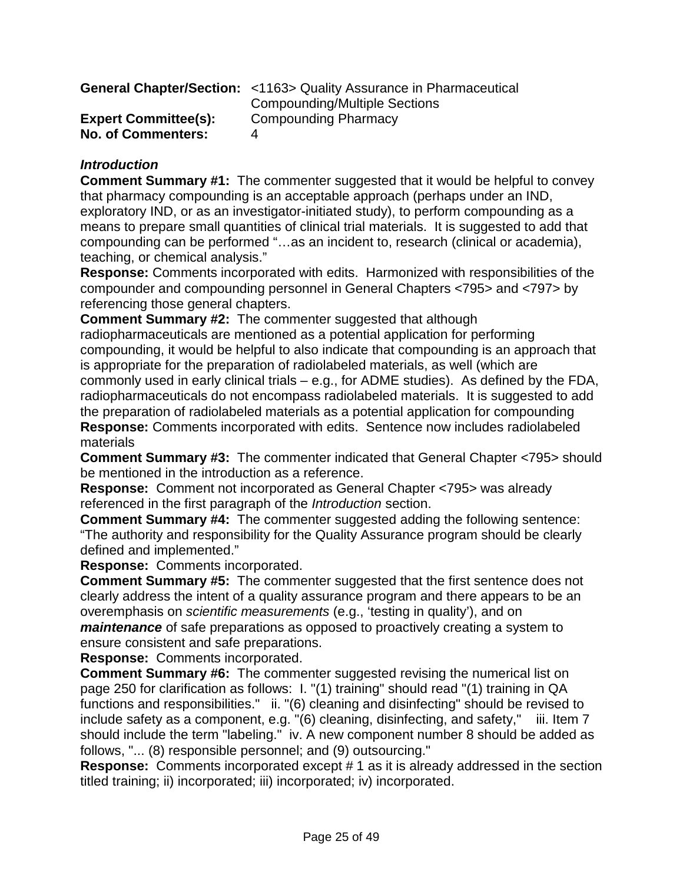|                             | <b>General Chapter/Section:</b> <1163> Quality Assurance in Pharmaceutical |
|-----------------------------|----------------------------------------------------------------------------|
|                             | <b>Compounding/Multiple Sections</b>                                       |
| <b>Expert Committee(s):</b> | Compounding Pharmacy                                                       |
| <b>No. of Commenters:</b>   |                                                                            |

# *Introduction*

**Comment Summary #1:** The commenter suggested that it would be helpful to convey that pharmacy compounding is an acceptable approach (perhaps under an IND, exploratory IND, or as an investigator-initiated study), to perform compounding as a means to prepare small quantities of clinical trial materials. It is suggested to add that compounding can be performed "…as an incident to, research (clinical or academia), teaching, or chemical analysis."

**Response:** Comments incorporated with edits. Harmonized with responsibilities of the compounder and compounding personnel in General Chapters <795> and <797> by referencing those general chapters.

**Comment Summary #2:** The commenter suggested that although radiopharmaceuticals are mentioned as a potential application for performing compounding, it would be helpful to also indicate that compounding is an approach that is appropriate for the preparation of radiolabeled materials, as well (which are commonly used in early clinical trials – e.g., for ADME studies). As defined by the FDA, radiopharmaceuticals do not encompass radiolabeled materials. It is suggested to add the preparation of radiolabeled materials as a potential application for compounding **Response:** Comments incorporated with edits. Sentence now includes radiolabeled materials

**Comment Summary #3:** The commenter indicated that General Chapter <795> should be mentioned in the introduction as a reference.

**Response:**Comment not incorporated as General Chapter <795> was already referenced in the first paragraph of the *Introduction* section.

**Comment Summary #4:** The commenter suggested adding the following sentence: "The authority and responsibility for the Quality Assurance program should be clearly defined and implemented."

**Response:** Comments incorporated.

**Comment Summary #5:** The commenter suggested that the first sentence does not clearly address the intent of a quality assurance program and there appears to be an overemphasis on *scientific measurements* (e.g., 'testing in quality'), and on *maintenance* of safe preparations as opposed to proactively creating a system to ensure consistent and safe preparations.

**Response:** Comments incorporated.

**Comment Summary #6:** The commenter suggested revising the numerical list on page 250 for clarification as follows: I. "(1) training" should read "(1) training in QA functions and responsibilities." ii. "(6) cleaning and disinfecting" should be revised to include safety as a component, e.g. "(6) cleaning, disinfecting, and safety," iii. Item 7 should include the term "labeling." iv. A new component number 8 should be added as follows, "... (8) responsible personnel; and (9) outsourcing."

**Response:** Comments incorporated except # 1 as it is already addressed in the section titled training; ii) incorporated; iii) incorporated; iv) incorporated.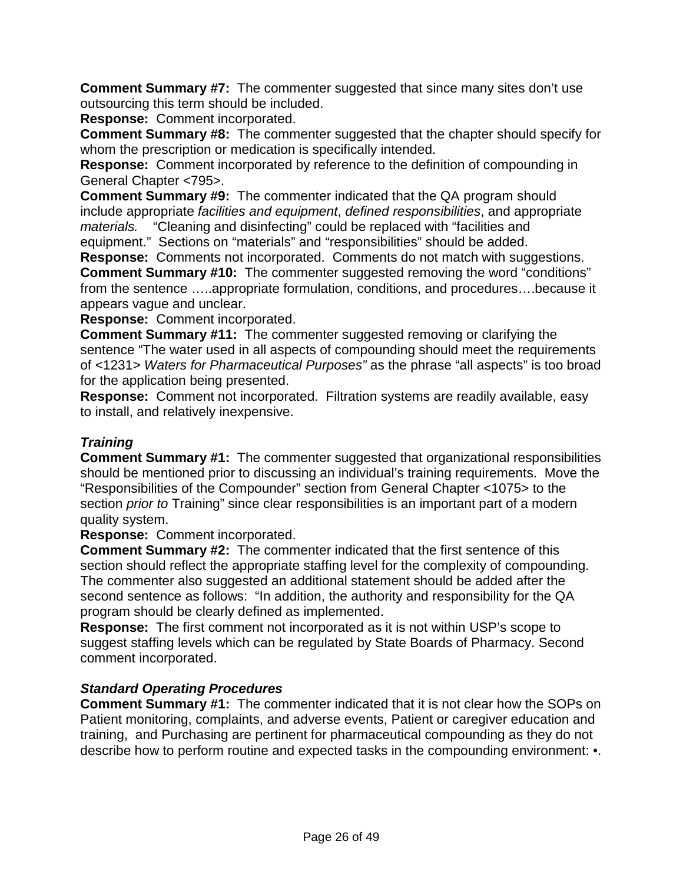**Comment Summary #7:** The commenter suggested that since many sites don't use outsourcing this term should be included.

**Response:** Comment incorporated.

**Comment Summary #8:** The commenter suggested that the chapter should specify for whom the prescription or medication is specifically intended.

**Response:** Comment incorporated by reference to the definition of compounding in General Chapter <795>.

**Comment Summary #9:** The commenter indicated that the QA program should include appropriate *facilities and equipment*, *defined responsibilities*, and appropriate *materials.* "Cleaning and disinfecting" could be replaced with "facilities and equipment." Sections on "materials" and "responsibilities" should be added.

**Response:** Comments not incorporated. Comments do not match with suggestions. **Comment Summary #10:** The commenter suggested removing the word "conditions" from the sentence …..appropriate formulation, conditions, and procedures….because it appears vague and unclear.

**Response:** Comment incorporated.

**Comment Summary #11:** The commenter suggested removing or clarifying the sentence "The water used in all aspects of compounding should meet the requirements of <1231> *Waters for Pharmaceutical Purposes"* as the phrase "all aspects" is too broad for the application being presented.

**Response:** Comment not incorporated. Filtration systems are readily available, easy to install, and relatively inexpensive.

# *Training*

**Comment Summary #1:** The commenter suggested that organizational responsibilities should be mentioned prior to discussing an individual's training requirements. Move the "Responsibilities of the Compounder" section from General Chapter <1075> to the section *prior to* Training" since clear responsibilities is an important part of a modern quality system.

**Response:** Comment incorporated.

**Comment Summary #2:** The commenter indicated that the first sentence of this section should reflect the appropriate staffing level for the complexity of compounding. The commenter also suggested an additional statement should be added after the second sentence as follows: "In addition, the authority and responsibility for the QA program should be clearly defined as implemented.

**Response:** The first comment not incorporated as it is not within USP's scope to suggest staffing levels which can be regulated by State Boards of Pharmacy. Second comment incorporated.

#### *Standard Operating Procedures*

**Comment Summary #1:** The commenter indicated that it is not clear how the SOPs on Patient monitoring, complaints, and adverse events, Patient or caregiver education and training, and Purchasing are pertinent for pharmaceutical compounding as they do not describe how to perform routine and expected tasks in the compounding environment: •.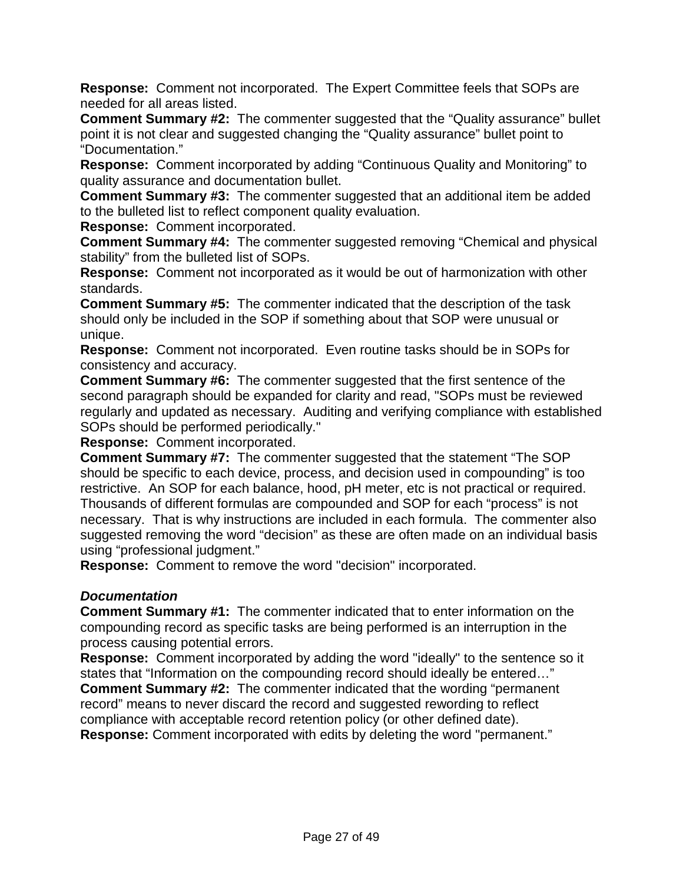**Response:** Comment not incorporated. The Expert Committee feels that SOPs are needed for all areas listed.

**Comment Summary #2:** The commenter suggested that the "Quality assurance" bullet point it is not clear and suggested changing the "Quality assurance" bullet point to "Documentation."

**Response:** Comment incorporated by adding "Continuous Quality and Monitoring" to quality assurance and documentation bullet.

**Comment Summary #3:** The commenter suggested that an additional item be added to the bulleted list to reflect component quality evaluation.

**Response:** Comment incorporated.

**Comment Summary #4:** The commenter suggested removing "Chemical and physical stability" from the bulleted list of SOPs.

**Response:** Comment not incorporated as it would be out of harmonization with other standards.

**Comment Summary #5:** The commenter indicated that the description of the task should only be included in the SOP if something about that SOP were unusual or unique.

**Response:** Comment not incorporated. Even routine tasks should be in SOPs for consistency and accuracy.

**Comment Summary #6:** The commenter suggested that the first sentence of the second paragraph should be expanded for clarity and read, "SOPs must be reviewed regularly and updated as necessary. Auditing and verifying compliance with established SOPs should be performed periodically."

**Response:** Comment incorporated.

**Comment Summary #7:** The commenter suggested that the statement "The SOP should be specific to each device, process, and decision used in compounding" is too restrictive. An SOP for each balance, hood, pH meter, etc is not practical or required. Thousands of different formulas are compounded and SOP for each "process" is not necessary. That is why instructions are included in each formula. The commenter also suggested removing the word "decision" as these are often made on an individual basis using "professional judgment."

**Response:** Comment to remove the word "decision" incorporated.

#### *Documentation*

**Comment Summary #1:** The commenter indicated that to enter information on the compounding record as specific tasks are being performed is an interruption in the process causing potential errors.

**Response:** Comment incorporated by adding the word "ideally" to the sentence so it states that "Information on the compounding record should ideally be entered…"

**Comment Summary #2:** The commenter indicated that the wording "permanent record" means to never discard the record and suggested rewording to reflect compliance with acceptable record retention policy (or other defined date).

**Response:** Comment incorporated with edits by deleting the word "permanent."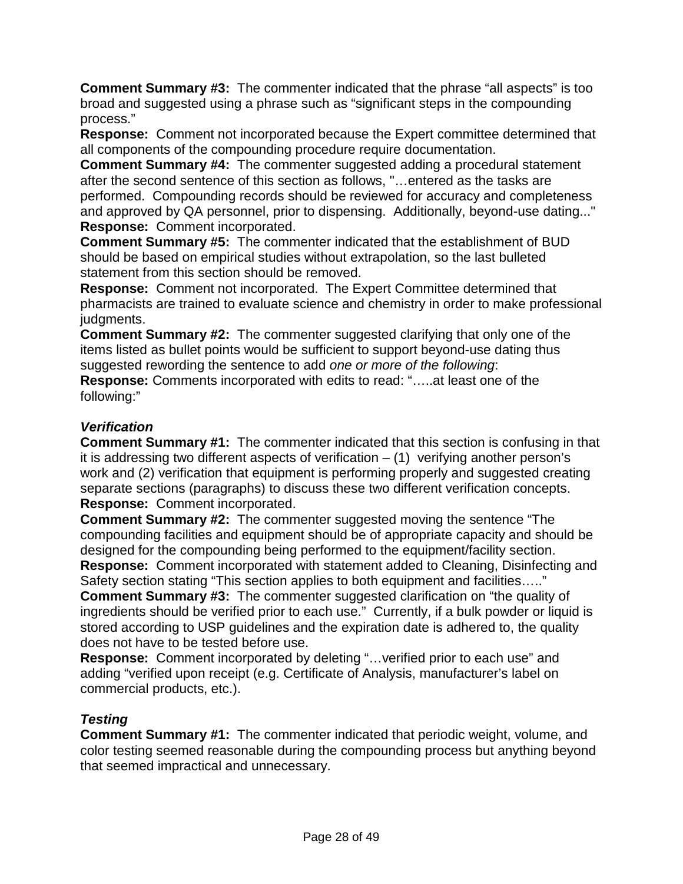**Comment Summary #3:** The commenter indicated that the phrase "all aspects" is too broad and suggested using a phrase such as "significant steps in the compounding process."

**Response:** Comment not incorporated because the Expert committee determined that all components of the compounding procedure require documentation.

**Comment Summary #4:** The commenter suggested adding a procedural statement after the second sentence of this section as follows, "…entered as the tasks are performed. Compounding records should be reviewed for accuracy and completeness and approved by QA personnel, prior to dispensing. Additionally, beyond-use dating..." **Response:** Comment incorporated.

**Comment Summary #5:** The commenter indicated that the establishment of BUD should be based on empirical studies without extrapolation, so the last bulleted statement from this section should be removed.

**Response:** Comment not incorporated. The Expert Committee determined that pharmacists are trained to evaluate science and chemistry in order to make professional judgments.

**Comment Summary #2:**The commenter suggested clarifying that only one of the items listed as bullet points would be sufficient to support beyond-use dating thus suggested rewording the sentence to add *one or more of the following*: **Response:** Comments incorporated with edits to read: "…..at least one of the following:"

# *Verification*

**Comment Summary #1:**The commenter indicated that this section is confusing in that it is addressing two different aspects of verification  $-$  (1) verifying another person's work and (2) verification that equipment is performing properly and suggested creating separate sections (paragraphs) to discuss these two different verification concepts. **Response:** Comment incorporated.

**Comment Summary #2:** The commenter suggested moving the sentence "The compounding facilities and equipment should be of appropriate capacity and should be designed for the compounding being performed to the equipment/facility section. **Response:** Comment incorporated with statement added to Cleaning, Disinfecting and Safety section stating "This section applies to both equipment and facilities….."

**Comment Summary #3:** The commenter suggested clarification on "the quality of ingredients should be verified prior to each use." Currently, if a bulk powder or liquid is stored according to USP guidelines and the expiration date is adhered to, the quality does not have to be tested before use.

**Response:** Comment incorporated by deleting "…verified prior to each use" and adding "verified upon receipt (e.g. Certificate of Analysis, manufacturer's label on commercial products, etc.).

# *Testing*

**Comment Summary #1:** The commenter indicated that periodic weight, volume, and color testing seemed reasonable during the compounding process but anything beyond that seemed impractical and unnecessary.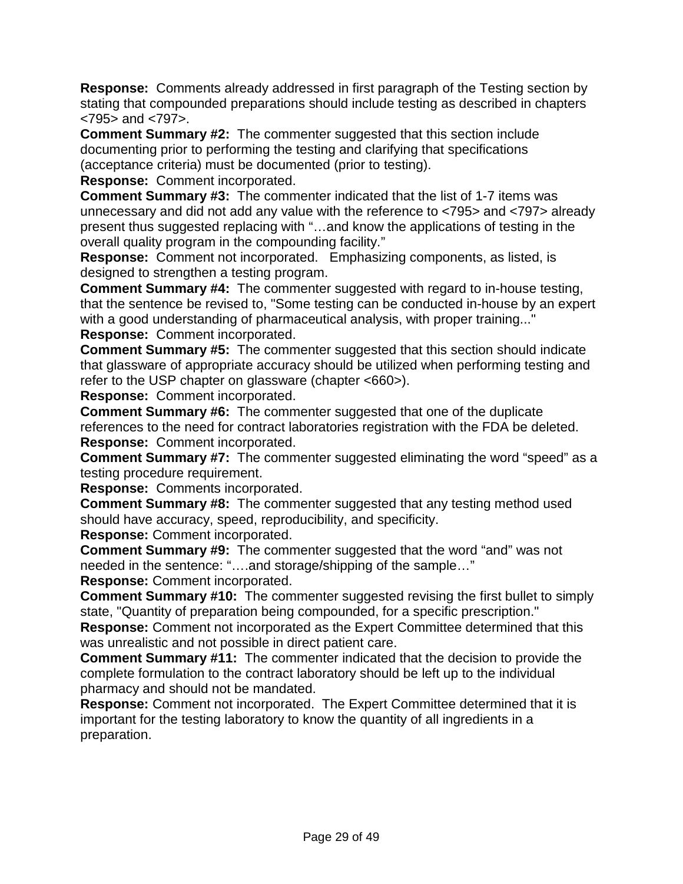**Response:** Comments already addressed in first paragraph of the Testing section by stating that compounded preparations should include testing as described in chapters <795> and <797>.

**Comment Summary #2:** The commenter suggested that this section include documenting prior to performing the testing and clarifying that specifications (acceptance criteria) must be documented (prior to testing).

**Response:** Comment incorporated.

**Comment Summary #3:** The commenter indicated that the list of 1-7 items was unnecessary and did not add any value with the reference to <795> and <797> already present thus suggested replacing with "…and know the applications of testing in the overall quality program in the compounding facility."

**Response:** Comment not incorporated. Emphasizing components, as listed, is designed to strengthen a testing program.

**Comment Summary #4:** The commenter suggested with regard to in-house testing, that the sentence be revised to, "Some testing can be conducted in-house by an expert with a good understanding of pharmaceutical analysis, with proper training..." **Response:** Comment incorporated.

**Comment Summary #5:** The commenter suggested that this section should indicate that glassware of appropriate accuracy should be utilized when performing testing and refer to the USP chapter on glassware (chapter <660>).

**Response:** Comment incorporated.

**Comment Summary #6:** The commenter suggested that one of the duplicate references to the need for contract laboratories registration with the FDA be deleted. **Response:** Comment incorporated.

**Comment Summary #7:** The commenter suggested eliminating the word "speed" as a testing procedure requirement.

**Response:** Comments incorporated.

**Comment Summary #8:** The commenter suggested that any testing method used should have accuracy, speed, reproducibility, and specificity.

**Response:** Comment incorporated.

**Comment Summary #9:** The commenter suggested that the word "and" was not needed in the sentence: "….and storage/shipping of the sample…"

**Response:** Comment incorporated.

**Comment Summary #10:** The commenter suggested revising the first bullet to simply state, "Quantity of preparation being compounded, for a specific prescription."

**Response:** Comment not incorporated as the Expert Committee determined that this was unrealistic and not possible in direct patient care.

**Comment Summary #11:** The commenter indicated that the decision to provide the complete formulation to the contract laboratory should be left up to the individual pharmacy and should not be mandated.

**Response:** Comment not incorporated. The Expert Committee determined that it is important for the testing laboratory to know the quantity of all ingredients in a preparation.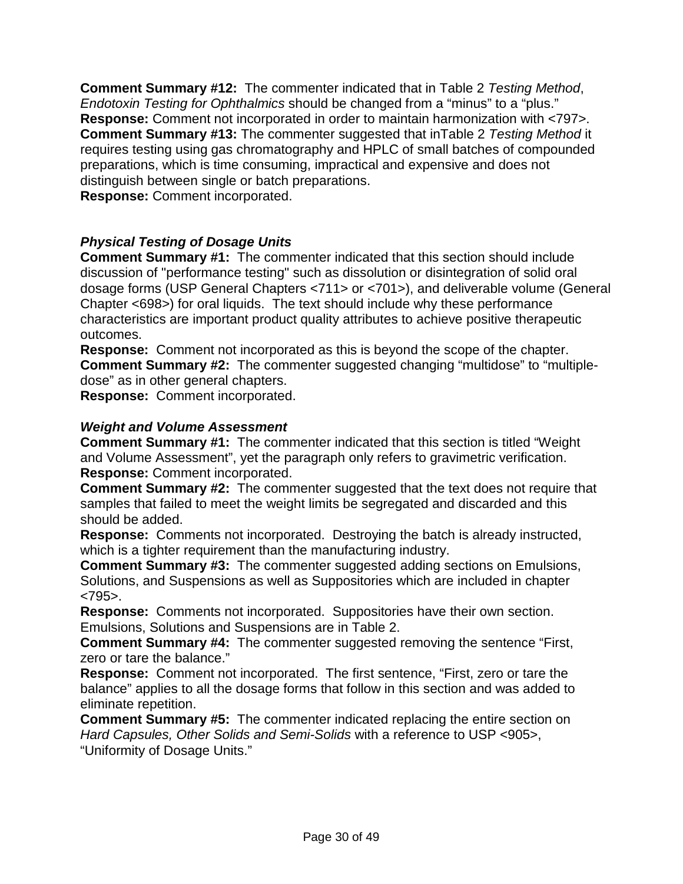**Comment Summary #12:** The commenter indicated that in Table 2 *Testing Method*, *Endotoxin Testing for Ophthalmics* should be changed from a "minus" to a "plus." **Response:** Comment not incorporated in order to maintain harmonization with <797>. **Comment Summary #13:** The commenter suggested that inTable 2 *Testing Method* it requires testing using gas chromatography and HPLC of small batches of compounded preparations, which is time consuming, impractical and expensive and does not distinguish between single or batch preparations.

**Response:** Comment incorporated.

# *Physical Testing of Dosage Units*

**Comment Summary #1:** The commenter indicated that this section should include discussion of "performance testing" such as dissolution or disintegration of solid oral dosage forms (USP General Chapters <711> or <701>), and deliverable volume (General Chapter <698>) for oral liquids. The text should include why these performance characteristics are important product quality attributes to achieve positive therapeutic outcomes.

**Response:** Comment not incorporated as this is beyond the scope of the chapter. **Comment Summary #2:** The commenter suggested changing "multidose" to "multipledose" as in other general chapters.

**Response:** Comment incorporated.

#### *Weight and Volume Assessment*

**Comment Summary #1:** The commenter indicated that this section is titled "Weight and Volume Assessment", yet the paragraph only refers to gravimetric verification. **Response:** Comment incorporated.

**Comment Summary #2:** The commenter suggested that the text does not require that samples that failed to meet the weight limits be segregated and discarded and this should be added.

**Response:** Comments not incorporated. Destroying the batch is already instructed, which is a tighter requirement than the manufacturing industry.

**Comment Summary #3:** The commenter suggested adding sections on Emulsions, Solutions, and Suspensions as well as Suppositories which are included in chapter <795>.

**Response:**Comments not incorporated. Suppositories have their own section. Emulsions, Solutions and Suspensions are in Table 2.

**Comment Summary #4:** The commenter suggested removing the sentence "First, zero or tare the balance."

**Response:** Comment not incorporated. The first sentence, "First, zero or tare the balance" applies to all the dosage forms that follow in this section and was added to eliminate repetition.

**Comment Summary #5:** The commenter indicated replacing the entire section on *Hard Capsules, Other Solids and Semi-Solids* with a reference to USP <905>, "Uniformity of Dosage Units."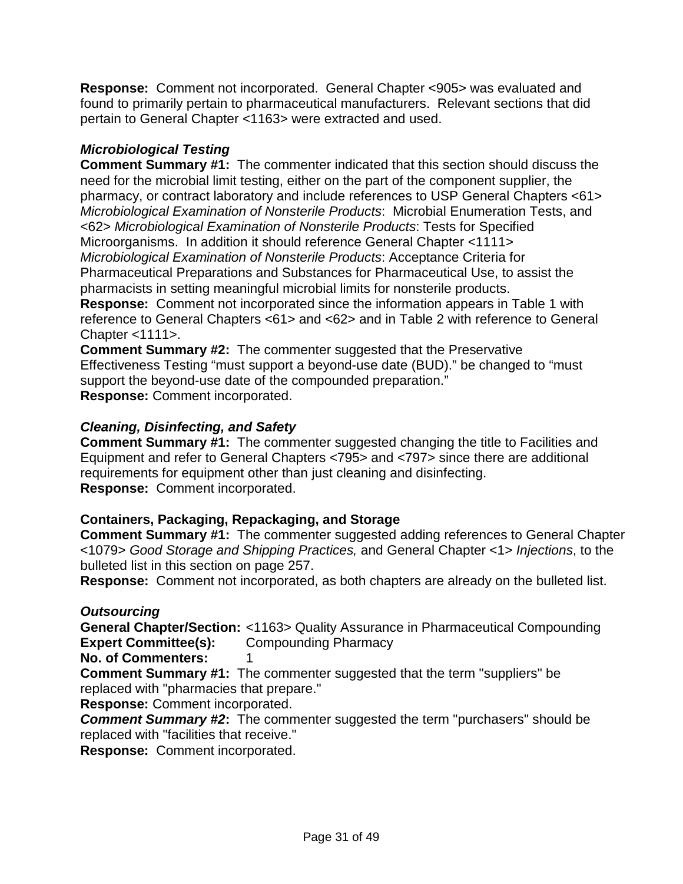**Response:** Comment not incorporated. General Chapter <905> was evaluated and found to primarily pertain to pharmaceutical manufacturers. Relevant sections that did pertain to General Chapter <1163> were extracted and used.

# *Microbiological Testing*

**Comment Summary #1:** The commenter indicated that this section should discuss the need for the microbial limit testing, either on the part of the component supplier, the pharmacy, or contract laboratory and include references to USP General Chapters <61> *Microbiological Examination of Nonsterile Products*: Microbial Enumeration Tests, and <62> *Microbiological Examination of Nonsterile Products*: Tests for Specified Microorganisms. In addition it should reference General Chapter <1111> *Microbiological Examination of Nonsterile Products*: Acceptance Criteria for Pharmaceutical Preparations and Substances for Pharmaceutical Use, to assist the pharmacists in setting meaningful microbial limits for nonsterile products.

**Response:** Comment not incorporated since the information appears in Table 1 with reference to General Chapters <61> and <62> and in Table 2 with reference to General Chapter <1111>.

**Comment Summary #2:**The commenter suggested that the Preservative Effectiveness Testing "must support a beyond-use date (BUD)." be changed to "must support the beyond-use date of the compounded preparation." **Response:** Comment incorporated.

# *Cleaning, Disinfecting, and Safety*

**Comment Summary #1:** The commenter suggested changing the title to Facilities and Equipment and refer to General Chapters <795> and <797> since there are additional requirements for equipment other than just cleaning and disinfecting. **Response:** Comment incorporated.

# **Containers, Packaging, Repackaging, and Storage**

**Comment Summary #1:** The commenter suggested adding references to General Chapter <1079> *Good Storage and Shipping Practices,* and General Chapter <1> *Injections*, to the bulleted list in this section on page 257.

**Response:** Comment not incorporated, as both chapters are already on the bulleted list.

# *Outsourcing*

**General Chapter/Section:** <1163> Quality Assurance in Pharmaceutical Compounding **Expert Committee(s):** Compounding Pharmacy

**No. of Commenters:** 1

**Comment Summary #1:** The commenter suggested that the term "suppliers" be replaced with "pharmacies that prepare."

**Response:** Comment incorporated.

*Comment Summary #2***:** The commenter suggested the term "purchasers" should be replaced with "facilities that receive."

**Response:** Comment incorporated.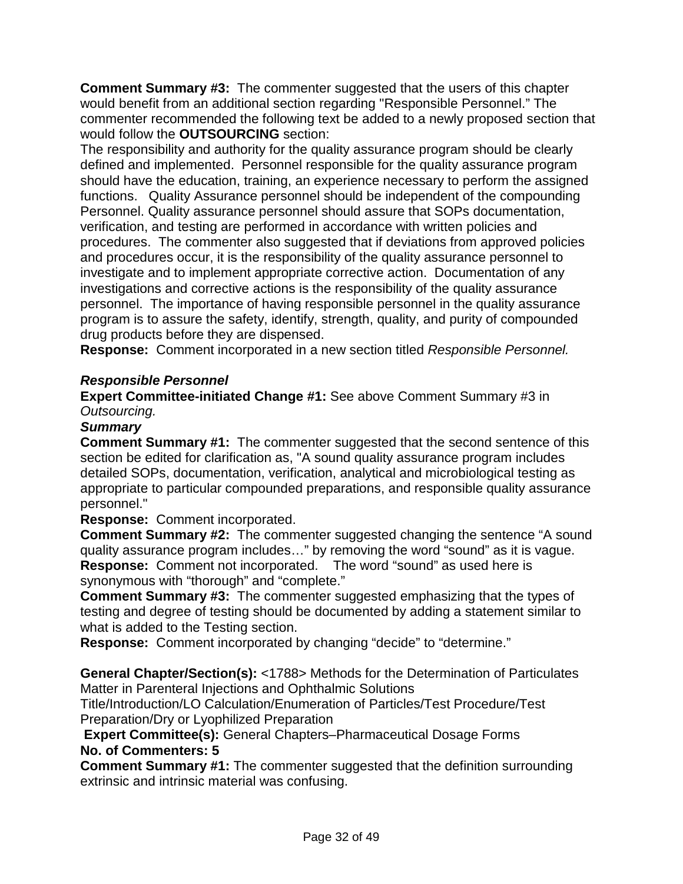**Comment Summary #3:** The commenter suggested that the users of this chapter would benefit from an additional section regarding "Responsible Personnel." The commenter recommended the following text be added to a newly proposed section that would follow the **OUTSOURCING** section:

The responsibility and authority for the quality assurance program should be clearly defined and implemented. Personnel responsible for the quality assurance program should have the education, training, an experience necessary to perform the assigned functions. Quality Assurance personnel should be independent of the compounding Personnel. Quality assurance personnel should assure that SOPs documentation, verification, and testing are performed in accordance with written policies and procedures. The commenter also suggested that if deviations from approved policies and procedures occur, it is the responsibility of the quality assurance personnel to investigate and to implement appropriate corrective action. Documentation of any investigations and corrective actions is the responsibility of the quality assurance personnel. The importance of having responsible personnel in the quality assurance program is to assure the safety, identify, strength, quality, and purity of compounded drug products before they are dispensed.

**Response:** Comment incorporated in a new section titled *Responsible Personnel.*

# *Responsible Personnel*

**Expert Committee-initiated Change #1:** See above Comment Summary #3 in *Outsourcing.*

#### *Summary*

**Comment Summary #1:** The commenter suggested that the second sentence of this section be edited for clarification as, "A sound quality assurance program includes detailed SOPs, documentation, verification, analytical and microbiological testing as appropriate to particular compounded preparations, and responsible quality assurance personnel."

**Response:** Comment incorporated.

**Comment Summary #2:** The commenter suggested changing the sentence "A sound quality assurance program includes…" by removing the word "sound" as it is vague. **Response:** Comment not incorporated. The word "sound" as used here is synonymous with "thorough" and "complete."

**Comment Summary #3:** The commenter suggested emphasizing that the types of testing and degree of testing should be documented by adding a statement similar to what is added to the Testing section.

**Response:** Comment incorporated by changing "decide" to "determine."

**General Chapter/Section(s):** <1788> Methods for the Determination of Particulates Matter in Parenteral Injections and Ophthalmic Solutions

Title/Introduction/LO Calculation/Enumeration of Particles/Test Procedure/Test Preparation/Dry or Lyophilized Preparation

**Expert Committee(s):** General Chapters–Pharmaceutical Dosage Forms **No. of Commenters: 5**

**Comment Summary #1:** The commenter suggested that the definition surrounding extrinsic and intrinsic material was confusing.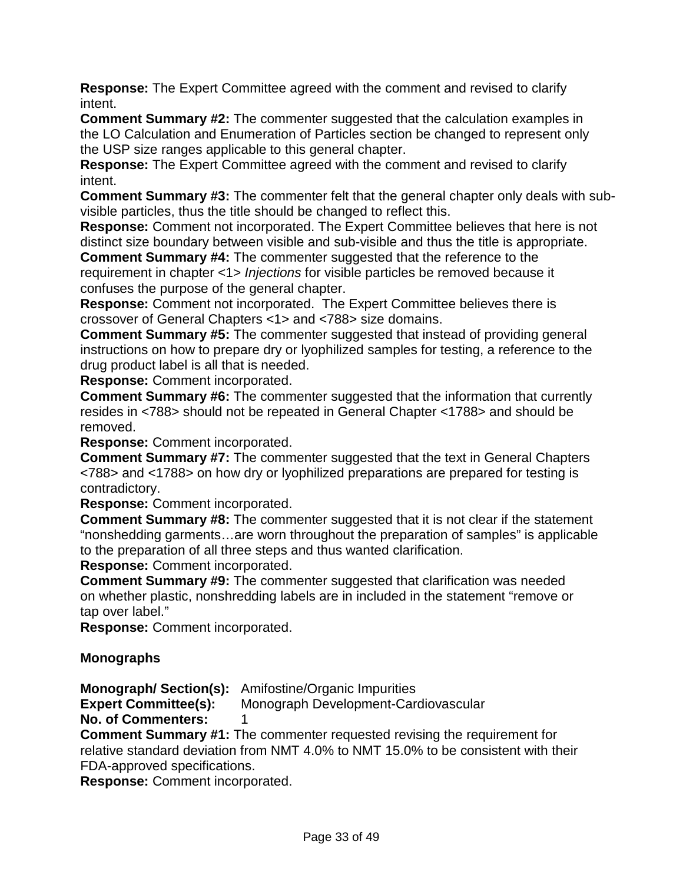**Response:** The Expert Committee agreed with the comment and revised to clarify intent.

**Comment Summary #2:** The commenter suggested that the calculation examples in the LO Calculation and Enumeration of Particles section be changed to represent only the USP size ranges applicable to this general chapter.

**Response:** The Expert Committee agreed with the comment and revised to clarify intent.

**Comment Summary #3:** The commenter felt that the general chapter only deals with subvisible particles, thus the title should be changed to reflect this.

**Response:** Comment not incorporated. The Expert Committee believes that here is not distinct size boundary between visible and sub-visible and thus the title is appropriate.

**Comment Summary #4:** The commenter suggested that the reference to the requirement in chapter <1> *Injections* for visible particles be removed because it confuses the purpose of the general chapter.

**Response:** Comment not incorporated. The Expert Committee believes there is crossover of General Chapters <1> and <788> size domains.

**Comment Summary #5:** The commenter suggested that instead of providing general instructions on how to prepare dry or lyophilized samples for testing, a reference to the drug product label is all that is needed.

**Response:** Comment incorporated.

**Comment Summary #6:** The commenter suggested that the information that currently resides in <788> should not be repeated in General Chapter <1788> and should be removed.

**Response:** Comment incorporated.

**Comment Summary #7:** The commenter suggested that the text in General Chapters <788> and <1788> on how dry or lyophilized preparations are prepared for testing is contradictory.

**Response:** Comment incorporated.

**Comment Summary #8:** The commenter suggested that it is not clear if the statement "nonshedding garments…are worn throughout the preparation of samples" is applicable to the preparation of all three steps and thus wanted clarification.

**Response:** Comment incorporated.

**Comment Summary #9:** The commenter suggested that clarification was needed on whether plastic, nonshredding labels are in included in the statement "remove or tap over label."

**Response:** Comment incorporated.

# **Monographs**

**Monograph/ Section(s):** Amifostine/Organic Impurities

**Expert Committee(s):** Monograph Development-Cardiovascular

#### **No. of Commenters:** 1

**Comment Summary #1:** The commenter requested revising the requirement for relative standard deviation from NMT 4.0% to NMT 15.0% to be consistent with their FDA-approved specifications.

**Response:** Comment incorporated.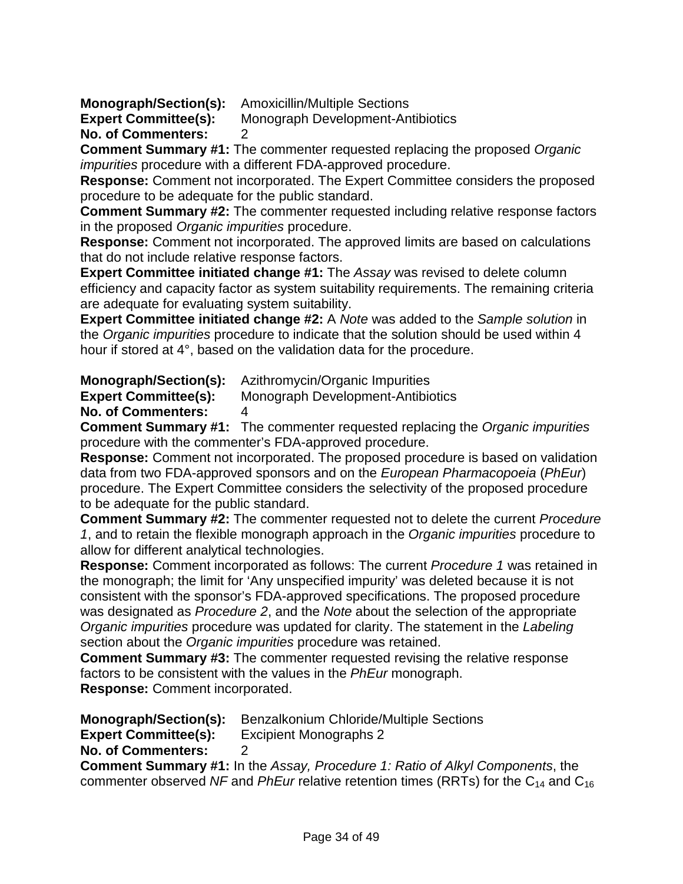**Monograph/Section(s):** Amoxicillin/Multiple Sections

**Expert Committee(s):** Monograph Development-Antibiotics

**No. of Commenters:** 2

**Comment Summary #1:** The commenter requested replacing the proposed *Organic impurities* procedure with a different FDA-approved procedure.

**Response:** Comment not incorporated. The Expert Committee considers the proposed procedure to be adequate for the public standard.

**Comment Summary #2:** The commenter requested including relative response factors in the proposed *Organic impurities* procedure.

**Response:** Comment not incorporated. The approved limits are based on calculations that do not include relative response factors.

**Expert Committee initiated change #1:** The *Assay* was revised to delete column efficiency and capacity factor as system suitability requirements. The remaining criteria are adequate for evaluating system suitability.

**Expert Committee initiated change #2:** A *Note* was added to the *Sample solution* in the *Organic impurities* procedure to indicate that the solution should be used within 4 hour if stored at 4°, based on the validation data for the procedure.

**Monograph/Section(s):** Azithromycin/Organic Impurities

**Expert Committee(s):** Monograph Development-Antibiotics

**No. of Commenters:** 4

**Comment Summary #1:** The commenter requested replacing the *Organic impurities* procedure with the commenter's FDA-approved procedure.

**Response:** Comment not incorporated. The proposed procedure is based on validation data from two FDA-approved sponsors and on the *European Pharmacopoeia* (*PhEur*) procedure. The Expert Committee considers the selectivity of the proposed procedure to be adequate for the public standard.

**Comment Summary #2:** The commenter requested not to delete the current *Procedure 1*, and to retain the flexible monograph approach in the *Organic impurities* procedure to allow for different analytical technologies.

**Response:** Comment incorporated as follows: The current *Procedure 1* was retained in the monograph; the limit for 'Any unspecified impurity' was deleted because it is not consistent with the sponsor's FDA-approved specifications. The proposed procedure was designated as *Procedure 2*, and the *Note* about the selection of the appropriate *Organic impurities* procedure was updated for clarity. The statement in the *Labeling* section about the *Organic impurities* procedure was retained.

**Comment Summary #3:** The commenter requested revising the relative response factors to be consistent with the values in the *PhEur* monograph. **Response:** Comment incorporated.

**Monograph/Section(s):** Benzalkonium Chloride/Multiple Sections **Expert Committee(s):** Excipient Monographs 2

**No. of Commenters:** 2

**Comment Summary #1:** In the *Assay, Procedure 1: Ratio of Alkyl Components*, the commenter observed *NF* and *PhEur* relative retention times (RRTs) for the  $C_{14}$  and  $C_{16}$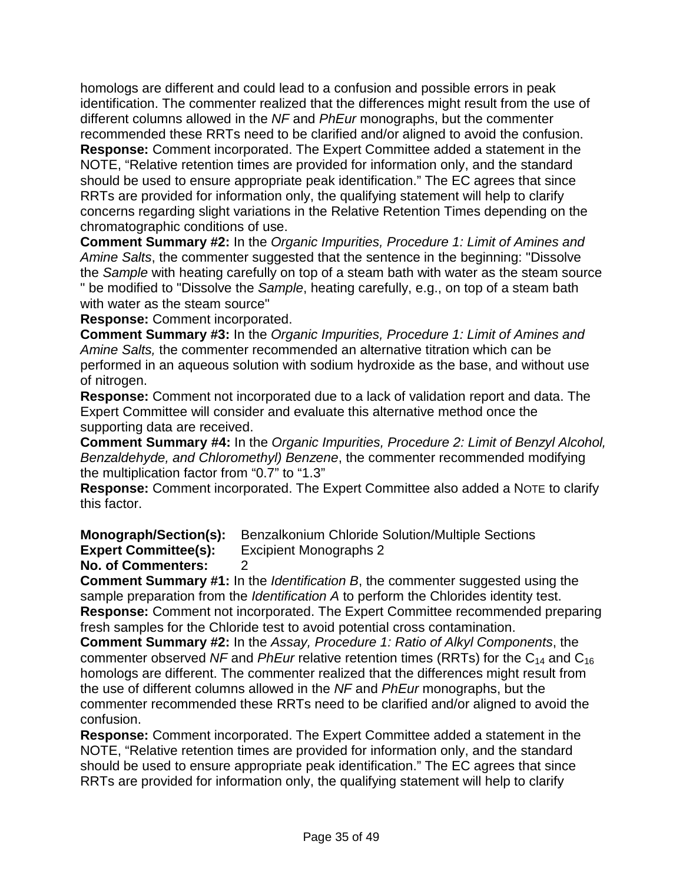homologs are different and could lead to a confusion and possible errors in peak identification. The commenter realized that the differences might result from the use of different columns allowed in the *NF* and *PhEur* monographs, but the commenter recommended these RRTs need to be clarified and/or aligned to avoid the confusion. **Response:** Comment incorporated. The Expert Committee added a statement in the NOTE, "Relative retention times are provided for information only, and the standard should be used to ensure appropriate peak identification." The EC agrees that since RRTs are provided for information only, the qualifying statement will help to clarify concerns regarding slight variations in the Relative Retention Times depending on the chromatographic conditions of use.

**Comment Summary #2:** In the *Organic Impurities, Procedure 1: Limit of Amines and Amine Salts*, the commenter suggested that the sentence in the beginning: "Dissolve the *Sample* with heating carefully on top of a steam bath with water as the steam source " be modified to "Dissolve the *Sample*, heating carefully, e.g., on top of a steam bath with water as the steam source"

**Response:** Comment incorporated.

**Comment Summary #3:** In the *Organic Impurities, Procedure 1: Limit of Amines and Amine Salts,* the commenter recommended an alternative titration which can be performed in an aqueous solution with sodium hydroxide as the base, and without use of nitrogen.

**Response:** Comment not incorporated due to a lack of validation report and data. The Expert Committee will consider and evaluate this alternative method once the supporting data are received.

**Comment Summary #4:** In the *Organic Impurities, Procedure 2: Limit of Benzyl Alcohol, Benzaldehyde, and Chloromethyl) Benzene*, the commenter recommended modifying the multiplication factor from "0.7" to "1.3"

**Response:** Comment incorporated. The Expert Committee also added a NOTE to clarify this factor.

**Monograph/Section(s):** Benzalkonium Chloride Solution/Multiple Sections

**Expert Committee(s):** Excipient Monographs 2

# **No. of Commenters:** 2

**Comment Summary #1:** In the *Identification B*, the commenter suggested using the sample preparation from the *Identification A* to perform the Chlorides identity test. **Response:** Comment not incorporated. The Expert Committee recommended preparing fresh samples for the Chloride test to avoid potential cross contamination.

**Comment Summary #2:** In the *Assay, Procedure 1: Ratio of Alkyl Components*, the commenter observed *NF* and *PhEur* relative retention times (RRTs) for the C14 and C16 homologs are different. The commenter realized that the differences might result from the use of different columns allowed in the *NF* and *PhEur* monographs, but the commenter recommended these RRTs need to be clarified and/or aligned to avoid the confusion.

**Response:** Comment incorporated. The Expert Committee added a statement in the NOTE, "Relative retention times are provided for information only, and the standard should be used to ensure appropriate peak identification." The EC agrees that since RRTs are provided for information only, the qualifying statement will help to clarify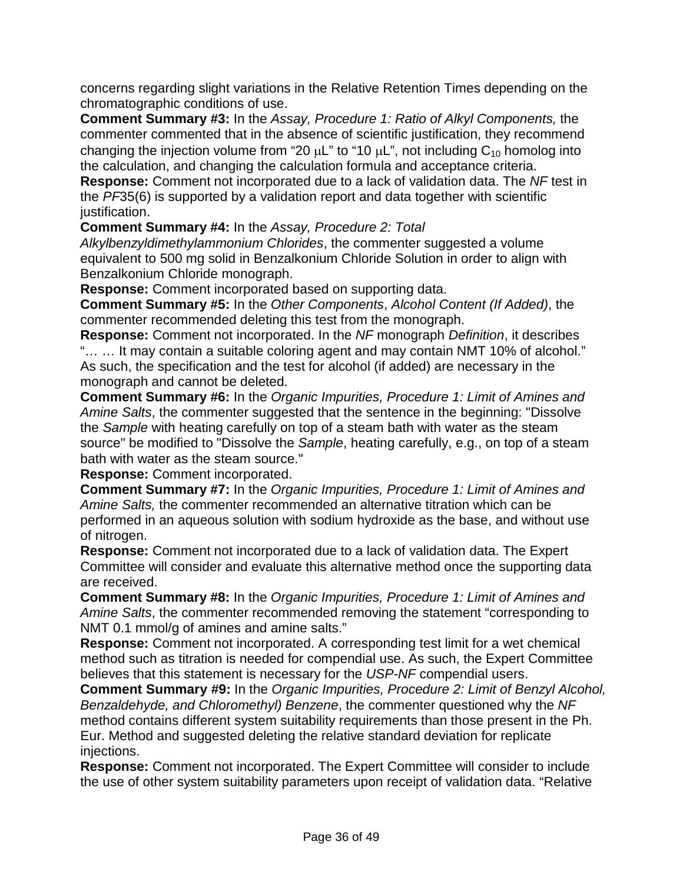concerns regarding slight variations in the Relative Retention Times depending on the chromatographic conditions of use.

**Comment Summary #3:** In the *Assay, Procedure 1: Ratio of Alkyl Components,* the commenter commented that in the absence of scientific justification, they recommend changing the injection volume from "20  $\mu$ L" to "10  $\mu$ L", not including C<sub>10</sub> homolog into the calculation, and changing the calculation formula and acceptance criteria.

**Response:** Comment not incorporated due to a lack of validation data. The *NF* test in the *PF*35(6) is supported by a validation report and data together with scientific justification.

**Comment Summary #4:** In the *Assay, Procedure 2: Total* 

*Alkylbenzyldimethylammonium Chlorides*, the commenter suggested a volume equivalent to 500 mg solid in Benzalkonium Chloride Solution in order to align with Benzalkonium Chloride monograph.

**Response:** Comment incorporated based on supporting data.

**Comment Summary #5:** In the *Other Components*, *Alcohol Content (If Added)*, the commenter recommended deleting this test from the monograph.

**Response:** Comment not incorporated. In the *NF* monograph *Definition*, it describes "… … It may contain a suitable coloring agent and may contain NMT 10% of alcohol." As such, the specification and the test for alcohol (if added) are necessary in the monograph and cannot be deleted.

**Comment Summary #6:** In the *Organic Impurities, Procedure 1: Limit of Amines and Amine Salts*, the commenter suggested that the sentence in the beginning: "Dissolve the *Sample* with heating carefully on top of a steam bath with water as the steam source" be modified to "Dissolve the *Sample*, heating carefully, e.g., on top of a steam bath with water as the steam source."

**Response:** Comment incorporated.

**Comment Summary #7:** In the *Organic Impurities, Procedure 1: Limit of Amines and Amine Salts,* the commenter recommended an alternative titration which can be performed in an aqueous solution with sodium hydroxide as the base, and without use of nitrogen.

**Response:** Comment not incorporated due to a lack of validation data. The Expert Committee will consider and evaluate this alternative method once the supporting data are received.

**Comment Summary #8:** In the *Organic Impurities, Procedure 1: Limit of Amines and Amine Salts*, the commenter recommended removing the statement "corresponding to NMT 0.1 mmol/g of amines and amine salts."

**Response:** Comment not incorporated. A corresponding test limit for a wet chemical method such as titration is needed for compendial use. As such, the Expert Committee believes that this statement is necessary for the *USP-NF* compendial users.

**Comment Summary #9:** In the *Organic Impurities, Procedure 2: Limit of Benzyl Alcohol, Benzaldehyde, and Chloromethyl) Benzene*, the commenter questioned why the *NF* method contains different system suitability requirements than those present in the Ph. Eur. Method and suggested deleting the relative standard deviation for replicate injections.

**Response:** Comment not incorporated. The Expert Committee will consider to include the use of other system suitability parameters upon receipt of validation data. "Relative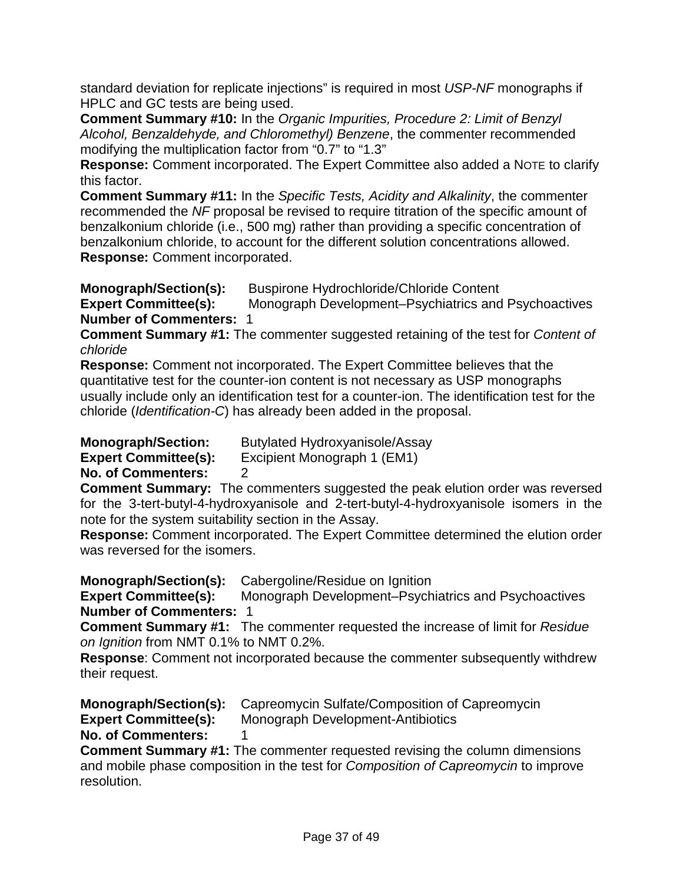standard deviation for replicate injections" is required in most *USP-NF* monographs if HPLC and GC tests are being used.

**Comment Summary #10:** In the *Organic Impurities, Procedure 2: Limit of Benzyl Alcohol, Benzaldehyde, and Chloromethyl) Benzene*, the commenter recommended modifying the multiplication factor from "0.7" to "1.3"

**Response:** Comment incorporated. The Expert Committee also added a NOTE to clarify this factor.

**Comment Summary #11:** In the *Specific Tests, Acidity and Alkalinity*, the commenter recommended the *NF* proposal be revised to require titration of the specific amount of benzalkonium chloride (i.e., 500 mg) rather than providing a specific concentration of benzalkonium chloride, to account for the different solution concentrations allowed. **Response:** Comment incorporated.

**Monograph/Section(s):** Buspirone Hydrochloride/Chloride Content **Expert Committee(s):** Monograph Development–Psychiatrics and Psychoactives **Number of Commenters:** 1

**Comment Summary #1:** The commenter suggested retaining of the test for *Content of chloride*

**Response:** Comment not incorporated. The Expert Committee believes that the quantitative test for the counter-ion content is not necessary as USP monographs usually include only an identification test for a counter-ion. The identification test for the chloride (*Identification-C*) has already been added in the proposal.

**Monograph/Section:** Butylated Hydroxyanisole/Assay

**Expert Committee(s):** Excipient Monograph 1 (EM1)

**No. of Commenters:** 2

**Comment Summary:** The commenters suggested the peak elution order was reversed for the 3-tert-butyl-4-hydroxyanisole and 2-tert-butyl-4-hydroxyanisole isomers in the note for the system suitability section in the Assay.

**Response:** Comment incorporated. The Expert Committee determined the elution order was reversed for the isomers.

**Monograph/Section(s):** Cabergoline/Residue on Ignition

**Expert Committee(s):** Monograph Development–Psychiatrics and Psychoactives **Number of Commenters:** 1

**Comment Summary #1:** The commenter requested the increase of limit for *Residue on Ignition* from NMT 0.1% to NMT 0.2%.

**Response**: Comment not incorporated because the commenter subsequently withdrew their request.

**Monograph/Section(s):** Capreomycin Sulfate/Composition of Capreomycin

**Expert Committee(s):** Monograph Development-Antibiotics

**No. of Commenters:** 1

**Comment Summary #1:** The commenter requested revising the column dimensions and mobile phase composition in the test for *Composition of Capreomycin* to improve resolution.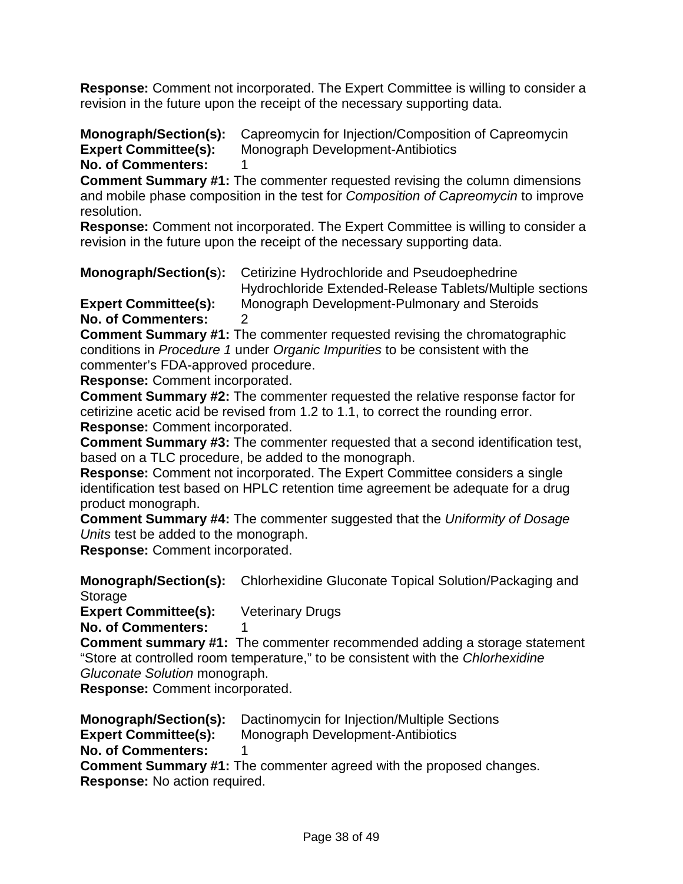**Response:** Comment not incorporated. The Expert Committee is willing to consider a revision in the future upon the receipt of the necessary supporting data.

**Monograph/Section(s):** Capreomycin for Injection/Composition of Capreomycin **Expert Committee(s):** Monograph Development-Antibiotics **Monograph Development-Antibiotics No. of Commenters:** 1

**Comment Summary #1:** The commenter requested revising the column dimensions and mobile phase composition in the test for *Composition of Capreomycin* to improve resolution.

**Response:** Comment not incorporated. The Expert Committee is willing to consider a revision in the future upon the receipt of the necessary supporting data.

**Monograph/Section(s**)**:** Cetirizine Hydrochloride and Pseudoephedrine

Hydrochloride Extended-Release Tablets/Multiple sections **Expert Committee(s):** Monograph Development-Pulmonary and Steroids **No. of Commenters:** 2

**Comment Summary #1:** The commenter requested revising the chromatographic conditions in *Procedure 1* under *Organic Impurities* to be consistent with the commenter's FDA-approved procedure.

**Response:** Comment incorporated.

**Comment Summary #2:** The commenter requested the relative response factor for cetirizine acetic acid be revised from 1.2 to 1.1, to correct the rounding error. **Response:** Comment incorporated.

**Comment Summary #3:** The commenter requested that a second identification test, based on a TLC procedure, be added to the monograph.

**Response:** Comment not incorporated. The Expert Committee considers a single identification test based on HPLC retention time agreement be adequate for a drug product monograph.

**Comment Summary #4:** The commenter suggested that the *Uniformity of Dosage Units* test be added to the monograph.

**Response:** Comment incorporated.

**Monograph/Section(s):** Chlorhexidine Gluconate Topical Solution/Packaging and **Storage** 

**Expert Committee(s):** Veterinary Drugs

**No. of Commenters:** 

**Comment summary #1:** The commenter recommended adding a storage statement "Store at controlled room temperature," to be consistent with the *Chlorhexidine Gluconate Solution* monograph.

**Response:** Comment incorporated.

**Monograph/Section(s):** Dactinomycin for Injection/Multiple Sections

**Expert Committee(s):** Monograph Development-Antibiotics

**No. of Commenters:** 1

**Comment Summary #1:** The commenter agreed with the proposed changes. **Response:** No action required.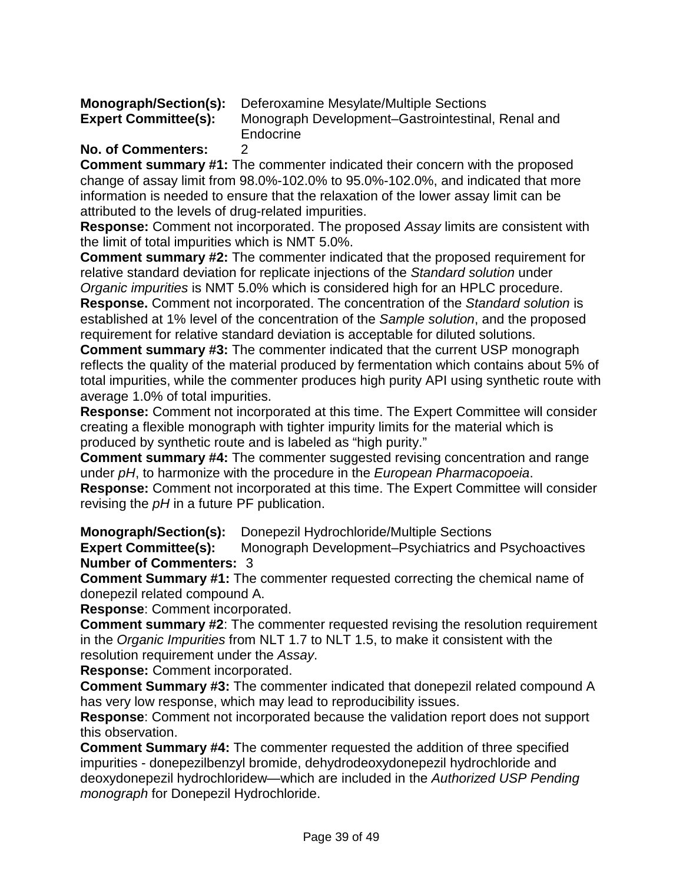|                             | <b>Monograph/Section(s):</b> Deferoxamine Mesylate/Multiple Sections |
|-----------------------------|----------------------------------------------------------------------|
| <b>Expert Committee(s):</b> | Monograph Development-Gastrointestinal, Renal and                    |
|                             | Endocrine                                                            |

#### **No. of Commenters:** 2

**Comment summary #1:** The commenter indicated their concern with the proposed change of assay limit from 98.0%-102.0% to 95.0%-102.0%, and indicated that more information is needed to ensure that the relaxation of the lower assay limit can be attributed to the levels of drug-related impurities.

**Response:** Comment not incorporated. The proposed *Assay* limits are consistent with the limit of total impurities which is NMT 5.0%.

**Comment summary #2:** The commenter indicated that the proposed requirement for relative standard deviation for replicate injections of the *Standard solution* under *Organic impurities* is NMT 5.0% which is considered high for an HPLC procedure.

**Response.** Comment not incorporated. The concentration of the *Standard solution* is established at 1% level of the concentration of the *Sample solution*, and the proposed requirement for relative standard deviation is acceptable for diluted solutions.

**Comment summary #3:** The commenter indicated that the current USP monograph reflects the quality of the material produced by fermentation which contains about 5% of total impurities, while the commenter produces high purity API using synthetic route with average 1.0% of total impurities.

**Response:** Comment not incorporated at this time. The Expert Committee will consider creating a flexible monograph with tighter impurity limits for the material which is produced by synthetic route and is labeled as "high purity."

**Comment summary #4:** The commenter suggested revising concentration and range under *pH*, to harmonize with the procedure in the *European Pharmacopoeia*.

**Response:** Comment not incorporated at this time. The Expert Committee will consider revising the *pH* in a future PF publication.

**Monograph/Section(s):** Donepezil Hydrochloride/Multiple Sections

**Expert Committee(s):** Monograph Development–Psychiatrics and Psychoactives **Number of Commenters:** 3

**Comment Summary #1:** The commenter requested correcting the chemical name of donepezil related compound A.

**Response**: Comment incorporated.

**Comment summary #2**: The commenter requested revising the resolution requirement in the *Organic Impurities* from NLT 1.7 to NLT 1.5, to make it consistent with the resolution requirement under the *Assay*.

**Response:** Comment incorporated.

**Comment Summary #3:** The commenter indicated that donepezil related compound A has very low response, which may lead to reproducibility issues.

**Response**: Comment not incorporated because the validation report does not support this observation.

**Comment Summary #4:** The commenter requested the addition of three specified impurities - donepezilbenzyl bromide, dehydrodeoxydonepezil hydrochloride and deoxydonepezil hydrochloridew—which are included in the *Authorized USP Pending monograph* for Donepezil Hydrochloride.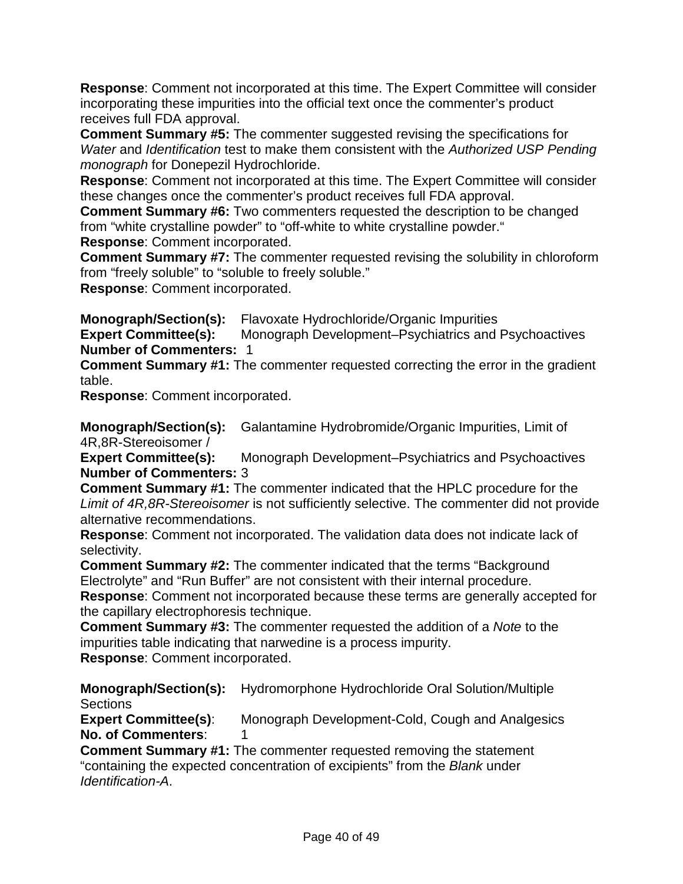**Response**: Comment not incorporated at this time. The Expert Committee will consider incorporating these impurities into the official text once the commenter's product receives full FDA approval.

**Comment Summary #5:** The commenter suggested revising the specifications for *Water* and *Identification* test to make them consistent with the *Authorized USP Pending monograph* for Donepezil Hydrochloride.

**Response**: Comment not incorporated at this time. The Expert Committee will consider these changes once the commenter's product receives full FDA approval.

**Comment Summary #6:** Two commenters requested the description to be changed from "white crystalline powder" to "off-white to white crystalline powder." **Response**: Comment incorporated.

**Comment Summary #7:** The commenter requested revising the solubility in chloroform from "freely soluble" to "soluble to freely soluble."

**Response**: Comment incorporated.

**Monograph/Section(s):** Flavoxate Hydrochloride/Organic Impurities

**Expert Committee(s):** Monograph Development–Psychiatrics and Psychoactives **Number of Commenters:** 1

**Comment Summary #1:** The commenter requested correcting the error in the gradient table.

**Response**: Comment incorporated.

**Monograph/Section(s):** Galantamine Hydrobromide/Organic Impurities, Limit of 4R,8R-Stereoisomer /

**Expert Committee(s):** Monograph Development–Psychiatrics and Psychoactives **Number of Commenters:** 3

**Comment Summary #1:** The commenter indicated that the HPLC procedure for the *Limit of 4R,8R-Stereoisomer* is not sufficiently selective. The commenter did not provide alternative recommendations.

**Response**: Comment not incorporated. The validation data does not indicate lack of selectivity.

**Comment Summary #2:** The commenter indicated that the terms "Background Electrolyte" and "Run Buffer" are not consistent with their internal procedure.

**Response**: Comment not incorporated because these terms are generally accepted for the capillary electrophoresis technique.

**Comment Summary #3:** The commenter requested the addition of a *Note* to the impurities table indicating that narwedine is a process impurity. **Response**: Comment incorporated.

**Monograph/Section(s):** Hydromorphone Hydrochloride Oral Solution/Multiple **Sections** 

**Expert Committee(s)**: Monograph Development-Cold, Cough and Analgesics **No. of Commenters:** 1

**Comment Summary #1:** The commenter requested removing the statement "containing the expected concentration of excipients" from the *Blank* under *Identification-A*.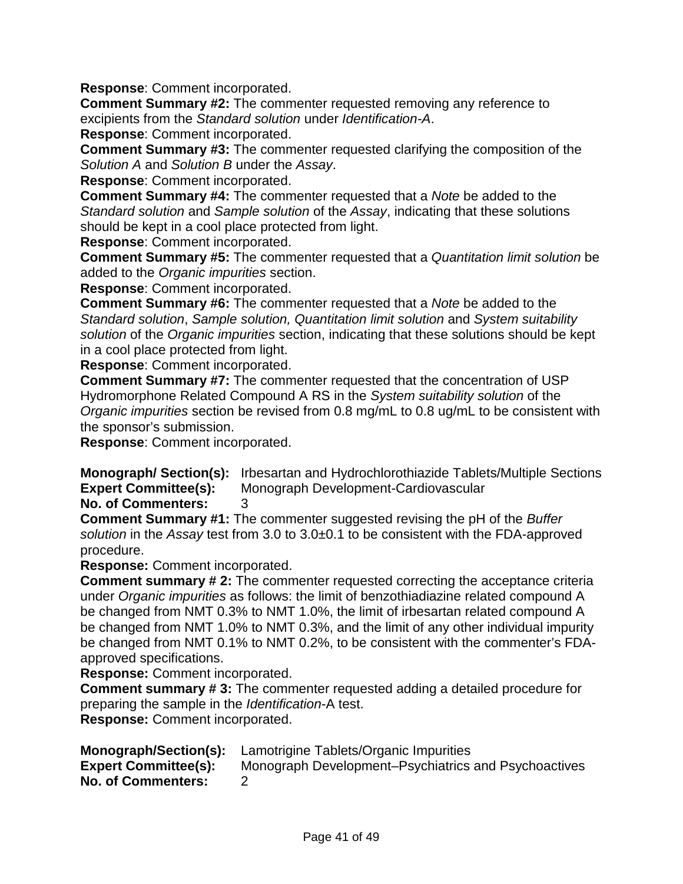**Response**: Comment incorporated.

**Comment Summary #2:** The commenter requested removing any reference to excipients from the *Standard solution* under *Identification-A*.

**Response**: Comment incorporated.

**Comment Summary #3:** The commenter requested clarifying the composition of the *Solution A* and *Solution B* under the *Assay*.

**Response**: Comment incorporated.

**Comment Summary #4:** The commenter requested that a *Note* be added to the *Standard solution* and *Sample solution* of the *Assay*, indicating that these solutions should be kept in a cool place protected from light.

**Response**: Comment incorporated.

**Comment Summary #5:** The commenter requested that a *Quantitation limit solution* be added to the *Organic impurities* section.

**Response**: Comment incorporated.

**Comment Summary #6:** The commenter requested that a *Note* be added to the *Standard solution*, *Sample solution, Quantitation limit solution* and *System suitability solution* of the *Organic impurities* section, indicating that these solutions should be kept in a cool place protected from light.

**Response**: Comment incorporated.

**Comment Summary #7:** The commenter requested that the concentration of USP Hydromorphone Related Compound A RS in the *System suitability solution* of the *Organic impurities* section be revised from 0.8 mg/mL to 0.8 ug/mL to be consistent with the sponsor's submission.

**Response**: Comment incorporated.

**Monograph/ Section(s):** Irbesartan and Hydrochlorothiazide Tablets/Multiple Sections **Expert Committee(s):** Monograph Development-Cardiovascular

**No. of Commenters:** 3

**Comment Summary #1:** The commenter suggested revising the pH of the *Buffer solution* in the *Assay* test from 3.0 to 3.0±0.1 to be consistent with the FDA-approved procedure.

**Response:** Comment incorporated.

**Comment summary # 2:** The commenter requested correcting the acceptance criteria under *Organic impurities* as follows: the limit of benzothiadiazine related compound A be changed from NMT 0.3% to NMT 1.0%, the limit of irbesartan related compound A be changed from NMT 1.0% to NMT 0.3%, and the limit of any other individual impurity be changed from NMT 0.1% to NMT 0.2%, to be consistent with the commenter's FDAapproved specifications.

**Response:** Comment incorporated.

**Comment summary # 3:** The commenter requested adding a detailed procedure for preparing the sample in the *Identification*-A test.

**Response:** Comment incorporated.

| Monograph/Section(s):       | Lamotrigine Tablets/Organic Impurities               |
|-----------------------------|------------------------------------------------------|
| <b>Expert Committee(s):</b> | Monograph Development–Psychiatrics and Psychoactives |
| <b>No. of Commenters:</b>   |                                                      |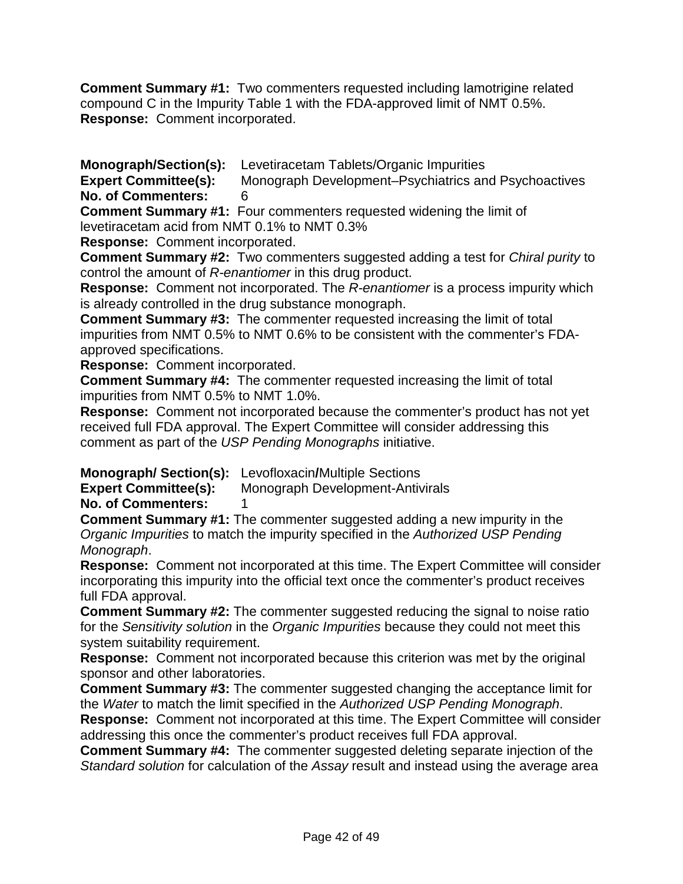**Comment Summary #1:** Two commenters requested including lamotrigine related compound C in the Impurity Table 1 with the FDA-approved limit of NMT 0.5%. **Response:** Comment incorporated.

**Monograph/Section(s):** Levetiracetam Tablets/Organic Impurities

**Expert Committee(s):** Monograph Development–Psychiatrics and Psychoactives **No. of Commenters:** 6

**Comment Summary #1:** Four commenters requested widening the limit of levetiracetam acid from NMT 0.1% to NMT 0.3%

**Response:** Comment incorporated.

**Comment Summary #2:** Two commenters suggested adding a test for *Chiral purity* to control the amount of *R-enantiomer* in this drug product.

**Response:** Comment not incorporated. The *R-enantiomer* is a process impurity which is already controlled in the drug substance monograph.

**Comment Summary #3:** The commenter requested increasing the limit of total impurities from NMT 0.5% to NMT 0.6% to be consistent with the commenter's FDAapproved specifications.

**Response:** Comment incorporated.

**Comment Summary #4:** The commenter requested increasing the limit of total impurities from NMT 0.5% to NMT 1.0%.

**Response:** Comment not incorporated because the commenter's product has not yet received full FDA approval. The Expert Committee will consider addressing this comment as part of the *USP Pending Monographs* initiative.

**Monograph/ Section(s):** Levofloxacin**/**Multiple Sections

**Expert Committee(s):** Monograph Development-Antivirals

**No. of Commenters:** 1

**Comment Summary #1:** The commenter suggested adding a new impurity in the *Organic Impurities* to match the impurity specified in the *Authorized USP Pending Monograph*.

**Response:** Comment not incorporated at this time. The Expert Committee will consider incorporating this impurity into the official text once the commenter's product receives full FDA approval.

**Comment Summary #2:** The commenter suggested reducing the signal to noise ratio for the *Sensitivity solution* in the *Organic Impurities* because they could not meet this system suitability requirement.

**Response:** Comment not incorporated because this criterion was met by the original sponsor and other laboratories.

**Comment Summary #3:** The commenter suggested changing the acceptance limit for the *Water* to match the limit specified in the *Authorized USP Pending Monograph*.

**Response:** Comment not incorporated at this time. The Expert Committee will consider addressing this once the commenter's product receives full FDA approval.

**Comment Summary #4:** The commenter suggested deleting separate injection of the *Standard solution* for calculation of the *Assay* result and instead using the average area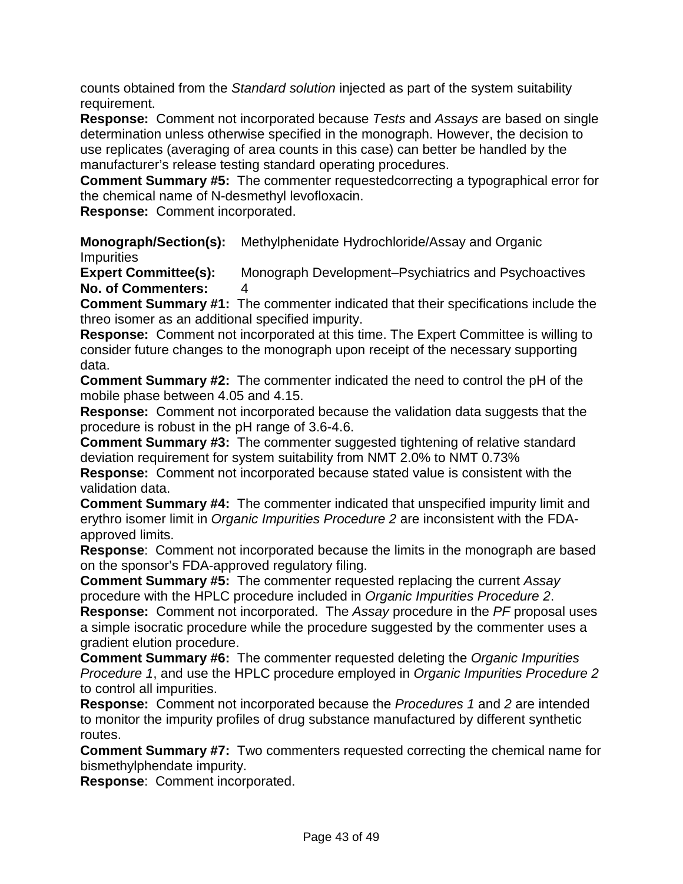counts obtained from the *Standard solution* injected as part of the system suitability requirement.

**Response:** Comment not incorporated because *Tests* and *Assays* are based on single determination unless otherwise specified in the monograph. However, the decision to use replicates (averaging of area counts in this case) can better be handled by the manufacturer's release testing standard operating procedures.

**Comment Summary #5:** The commenter requestedcorrecting a typographical error for the chemical name of N-desmethyl levofloxacin.

**Response:** Comment incorporated.

**Monograph/Section(s):** Methylphenidate Hydrochloride/Assay and Organic **Impurities** 

**Expert Committee(s):** Monograph Development–Psychiatrics and Psychoactives **No. of Commenters:** 4

**Comment Summary #1:** The commenter indicated that their specifications include the threo isomer as an additional specified impurity.

**Response:** Comment not incorporated at this time. The Expert Committee is willing to consider future changes to the monograph upon receipt of the necessary supporting data.

**Comment Summary #2:** The commenter indicated the need to control the pH of the mobile phase between 4.05 and 4.15.

**Response:** Comment not incorporated because the validation data suggests that the procedure is robust in the pH range of 3.6-4.6.

**Comment Summary #3:** The commenter suggested tightening of relative standard deviation requirement for system suitability from NMT 2.0% to NMT 0.73%

**Response:** Comment not incorporated because stated value is consistent with the validation data.

**Comment Summary #4:** The commenter indicated that unspecified impurity limit and erythro isomer limit in *Organic Impurities Procedure 2* are inconsistent with the FDAapproved limits.

**Response**: Comment not incorporated because the limits in the monograph are based on the sponsor's FDA-approved regulatory filing.

**Comment Summary #5:** The commenter requested replacing the current *Assay* procedure with the HPLC procedure included in *Organic Impurities Procedure 2*.

**Response:** Comment not incorporated. The *Assay* procedure in the *PF* proposal uses a simple isocratic procedure while the procedure suggested by the commenter uses a gradient elution procedure.

**Comment Summary #6:** The commenter requested deleting the *Organic Impurities Procedure 1*, and use the HPLC procedure employed in *Organic Impurities Procedure 2* to control all impurities.

**Response:** Comment not incorporated because the *Procedures 1* and *2* are intended to monitor the impurity profiles of drug substance manufactured by different synthetic routes.

**Comment Summary #7:** Two commenters requested correcting the chemical name for bismethylphendate impurity.

**Response**: Comment incorporated.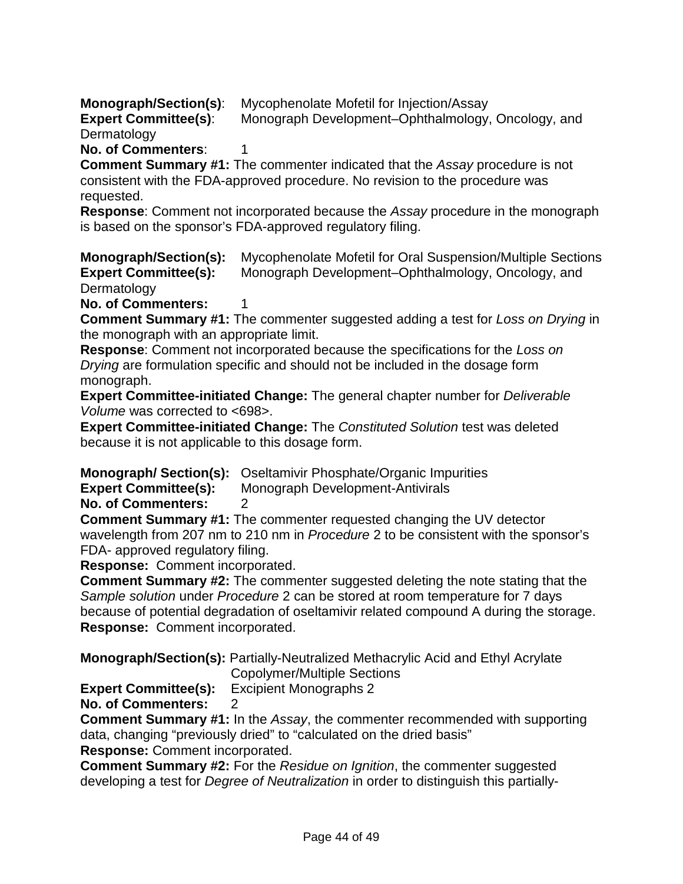**Monograph/Section(s)**: Mycophenolate Mofetil for Injection/Assay

**Expert Committee(s):** Monograph Development–Ophthalmology, Oncology, and Dermatology

**No. of Commenters:** 1

**Comment Summary #1:** The commenter indicated that the *Assay* procedure is not consistent with the FDA-approved procedure. No revision to the procedure was requested.

**Response**: Comment not incorporated because the *Assay* procedure in the monograph is based on the sponsor's FDA-approved regulatory filing.

**Monograph/Section(s):** Mycophenolate Mofetil for Oral Suspension/Multiple Sections **Expert Committee(s):** Monograph Development–Ophthalmology, Oncology, and **Dermatology** 

**No. of Commenters:** 

**Comment Summary #1:** The commenter suggested adding a test for *Loss on Drying* in the monograph with an appropriate limit.

**Response**: Comment not incorporated because the specifications for the *Loss on Drying* are formulation specific and should not be included in the dosage form monograph.

**Expert Committee-initiated Change:** The general chapter number for *Deliverable Volume* was corrected to <698>.

**Expert Committee-initiated Change:** The *Constituted Solution* test was deleted because it is not applicable to this dosage form.

**Monograph/ Section(s):** Oseltamivir Phosphate/Organic Impurities

**Expert Committee(s):** Monograph Development-Antivirals

**No. of Commenters:** 2

**Comment Summary #1:** The commenter requested changing the UV detector wavelength from 207 nm to 210 nm in *Procedure* 2 to be consistent with the sponsor's FDA- approved regulatory filing.

**Response:** Comment incorporated.

**Comment Summary #2:** The commenter suggested deleting the note stating that the *Sample solution* under *Procedure* 2 can be stored at room temperature for 7 days because of potential degradation of oseltamivir related compound A during the storage. **Response:** Comment incorporated.

**Monograph/Section(s):** Partially-Neutralized Methacrylic Acid and Ethyl Acrylate Copolymer/Multiple Sections

**Expert Committee(s):** Excipient Monographs 2

**No. of Commenters:** 2

**Comment Summary #1:** In the *Assay*, the commenter recommended with supporting data, changing "previously dried" to "calculated on the dried basis" **Response:** Comment incorporated.

**Comment Summary #2:** For the *Residue on Ignition*, the commenter suggested developing a test for *Degree of Neutralization* in order to distinguish this partially-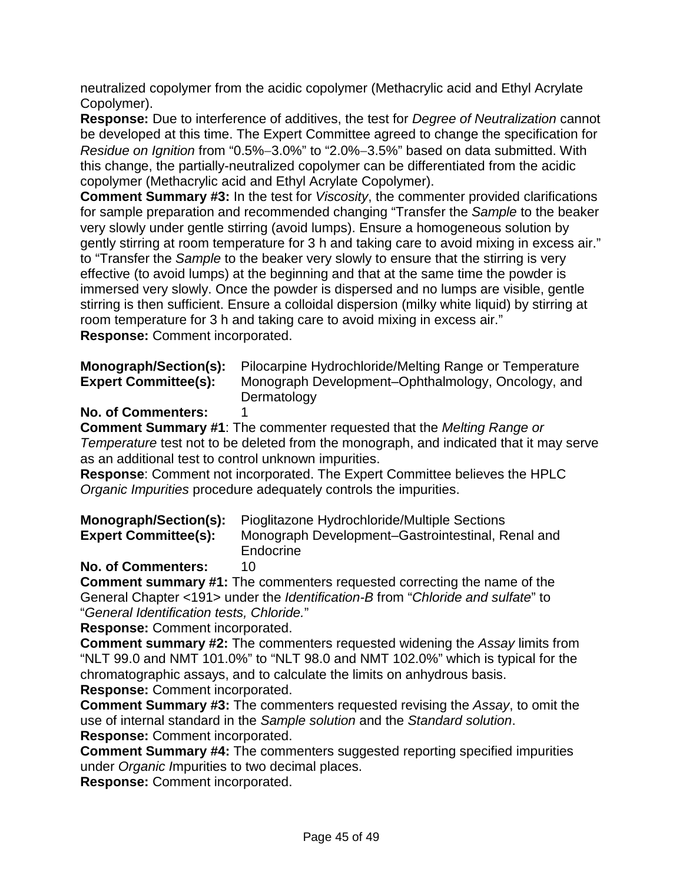neutralized copolymer from the acidic copolymer (Methacrylic acid and Ethyl Acrylate Copolymer).

**Response:** Due to interference of additives, the test for *Degree of Neutralization* cannot be developed at this time. The Expert Committee agreed to change the specification for *Residue on Ignition* from "0.5%−3.0%" to "2.0%−3.5%" based on data submitted. With this change, the partially-neutralized copolymer can be differentiated from the acidic copolymer (Methacrylic acid and Ethyl Acrylate Copolymer).

**Comment Summary #3:** In the test for *Viscosity*, the commenter provided clarifications for sample preparation and recommended changing "Transfer the *Sample* to the beaker very slowly under gentle stirring (avoid lumps). Ensure a homogeneous solution by gently stirring at room temperature for 3 h and taking care to avoid mixing in excess air." to "Transfer the *Sample* to the beaker very slowly to ensure that the stirring is very effective (to avoid lumps) at the beginning and that at the same time the powder is immersed very slowly. Once the powder is dispersed and no lumps are visible, gentle stirring is then sufficient. Ensure a colloidal dispersion (milky white liquid) by stirring at room temperature for 3 h and taking care to avoid mixing in excess air." **Response:** Comment incorporated.

| Monograph/Section(s):       | Pilocarpine Hydrochloride/Melting Range or Temperature |
|-----------------------------|--------------------------------------------------------|
| <b>Expert Committee(s):</b> | Monograph Development-Ophthalmology, Oncology, and     |
|                             | Dermatology                                            |

#### **No. of Commenters:** 1

**Comment Summary #1**: The commenter requested that the *Melting Range or Temperature* test not to be deleted from the monograph, and indicated that it may serve as an additional test to control unknown impurities.

**Response**: Comment not incorporated. The Expert Committee believes the HPLC *Organic Impurities* procedure adequately controls the impurities.

|                             | <b>Monograph/Section(s):</b> Pioglitazone Hydrochloride/Multiple Sections |
|-----------------------------|---------------------------------------------------------------------------|
| <b>Expert Committee(s):</b> | Monograph Development–Gastrointestinal, Renal and                         |
|                             | Endocrine                                                                 |

#### **No. of Commenters:** 10

**Comment summary #1:** The commenters requested correcting the name of the General Chapter <191> under the *Identification-B* from "*Chloride and sulfate*" to "*General Identification tests, Chloride.*"

**Response:** Comment incorporated.

**Comment summary #2:** The commenters requested widening the *Assay* limits from "NLT 99.0 and NMT 101.0%" to "NLT 98.0 and NMT 102.0%" which is typical for the chromatographic assays, and to calculate the limits on anhydrous basis. **Response:** Comment incorporated.

**Comment Summary #3:** The commenters requested revising the *Assay*, to omit the use of internal standard in the *Sample solution* and the *Standard solution*. **Response:** Comment incorporated.

**Comment Summary #4:** The commenters suggested reporting specified impurities under *Organic I*mpurities to two decimal places.

**Response:** Comment incorporated.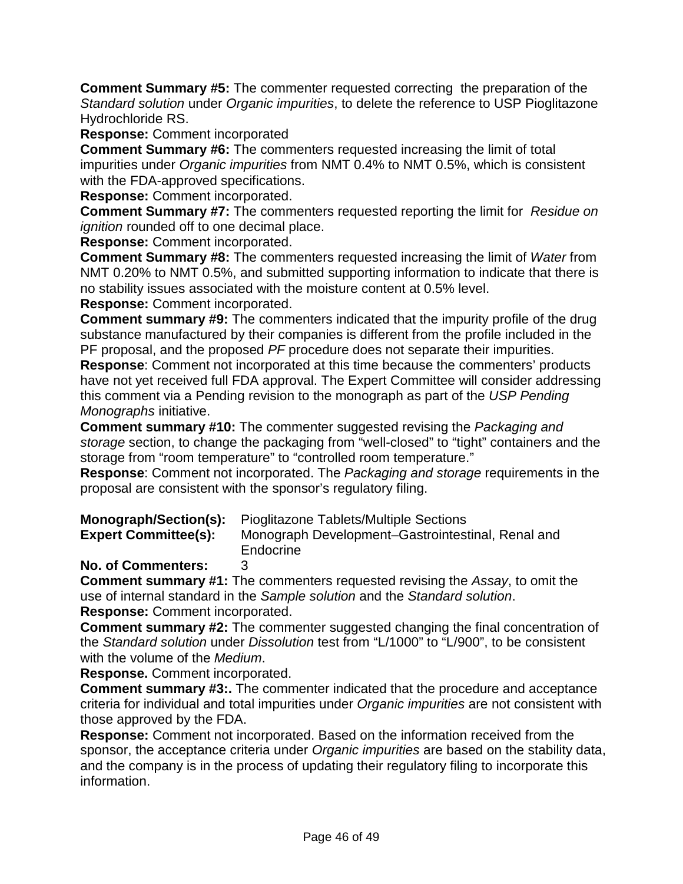**Comment Summary #5:** The commenter requested correcting the preparation of the *Standard solution* under *Organic impurities*, to delete the reference to USP Pioglitazone Hydrochloride RS.

**Response:** Comment incorporated

**Comment Summary #6:** The commenters requested increasing the limit of total impurities under *Organic impurities* from NMT 0.4% to NMT 0.5%, which is consistent with the FDA-approved specifications.

**Response:** Comment incorporated.

**Comment Summary #7:** The commenters requested reporting the limit for *Residue on ignition* rounded off to one decimal place.

**Response:** Comment incorporated.

**Comment Summary #8:** The commenters requested increasing the limit of *Water* from NMT 0.20% to NMT 0.5%, and submitted supporting information to indicate that there is no stability issues associated with the moisture content at 0.5% level.

**Response:** Comment incorporated.

**Comment summary #9:** The commenters indicated that the impurity profile of the drug substance manufactured by their companies is different from the profile included in the PF proposal, and the proposed *PF* procedure does not separate their impurities.

**Response**: Comment not incorporated at this time because the commenters' products have not yet received full FDA approval. The Expert Committee will consider addressing this comment via a Pending revision to the monograph as part of the *USP Pending Monographs* initiative.

**Comment summary #10:** The commenter suggested revising the *Packaging and storage* section, to change the packaging from "well-closed" to "tight" containers and the storage from "room temperature" to "controlled room temperature."

**Response**: Comment not incorporated. The *Packaging and storage* requirements in the proposal are consistent with the sponsor's regulatory filing.

|                             | <b>Monograph/Section(s):</b> Pioglitazone Tablets/Multiple Sections |
|-----------------------------|---------------------------------------------------------------------|
| <b>Expert Committee(s):</b> | Monograph Development–Gastrointestinal, Renal and                   |
|                             | Endocrine                                                           |

#### **No. of Commenters:** 3

**Comment summary #1:** The commenters requested revising the *Assay*, to omit the use of internal standard in the *Sample solution* and the *Standard solution*. **Response:** Comment incorporated.

**Comment summary #2:** The commenter suggested changing the final concentration of the *Standard solution* under *Dissolution* test from "L/1000" to "L/900", to be consistent with the volume of the *Medium*.

**Response.** Comment incorporated.

**Comment summary #3:.** The commenter indicated that the procedure and acceptance criteria for individual and total impurities under *Organic impurities* are not consistent with those approved by the FDA.

**Response:** Comment not incorporated. Based on the information received from the sponsor, the acceptance criteria under *Organic impurities* are based on the stability data, and the company is in the process of updating their regulatory filing to incorporate this information.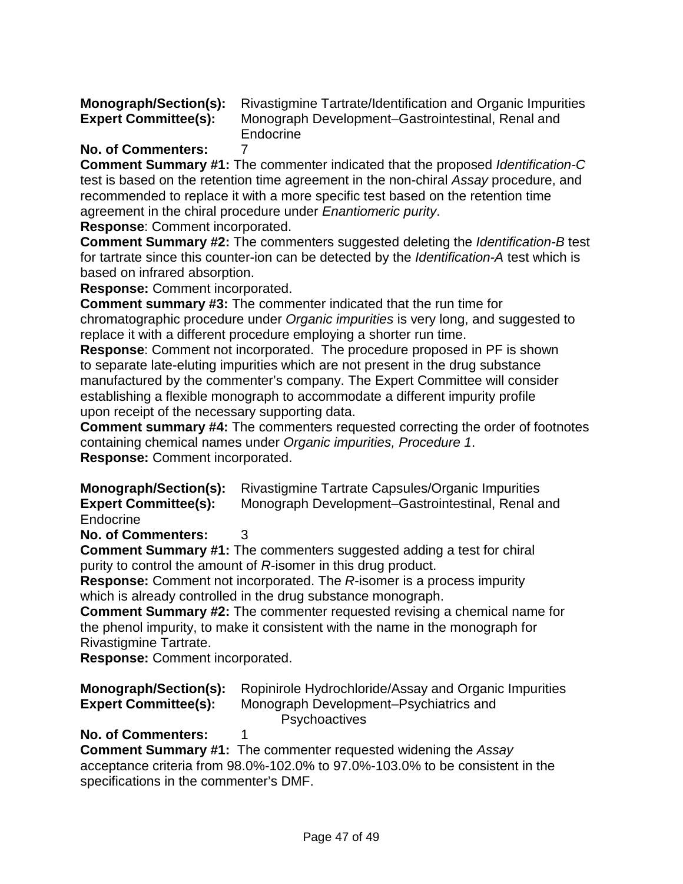**Monograph/Section(s):** Rivastigmine Tartrate/Identification and Organic Impurities **Expert Committee(s):** Monograph Development–Gastrointestinal, Renal and **Endocrine** 

# **No. of Commenters:** 7

**Comment Summary #1:** The commenter indicated that the proposed *Identification-C* test is based on the retention time agreement in the non-chiral *Assay* procedure, and recommended to replace it with a more specific test based on the retention time agreement in the chiral procedure under *Enantiomeric purity*.

**Response**: Comment incorporated.

**Comment Summary #2:** The commenters suggested deleting the *Identification-B* test for tartrate since this counter-ion can be detected by the *Identification-A* test which is based on infrared absorption.

**Response:** Comment incorporated.

**Comment summary #3:** The commenter indicated that the run time for chromatographic procedure under *Organic impurities* is very long, and suggested to replace it with a different procedure employing a shorter run time.

**Response**: Comment not incorporated. The procedure proposed in PF is shown to separate late-eluting impurities which are not present in the drug substance manufactured by the commenter's company. The Expert Committee will consider establishing a flexible monograph to accommodate a different impurity profile upon receipt of the necessary supporting data.

**Comment summary #4:** The commenters requested correcting the order of footnotes containing chemical names under *Organic impurities, Procedure 1*. **Response:** Comment incorporated.

**Monograph/Section(s):** Rivastigmine Tartrate Capsules/Organic Impurities **Expert Committee(s):** Monograph Development–Gastrointestinal, Renal and Endocrine

**No. of Commenters:** 3

**Comment Summary #1:** The commenters suggested adding a test for chiral purity to control the amount of *R*-isomer in this drug product.

**Response:** Comment not incorporated. The *R*-isomer is a process impurity which is already controlled in the drug substance monograph.

**Comment Summary #2:** The commenter requested revising a chemical name for the phenol impurity, to make it consistent with the name in the monograph for Rivastigmine Tartrate.

**Response:** Comment incorporated.

| <b>Expert Committee(s):</b> | <b>Monograph/Section(s):</b> Ropinirole Hydrochloride/Assay and Organic Impurities<br>Monograph Development–Psychiatrics and |
|-----------------------------|------------------------------------------------------------------------------------------------------------------------------|
|                             | <b>Psychoactives</b>                                                                                                         |

# **No. of Commenters:** 1

**Comment Summary #1:** The commenter requested widening the *Assay* acceptance criteria from 98.0%-102.0% to 97.0%-103.0% to be consistent in the specifications in the commenter's DMF.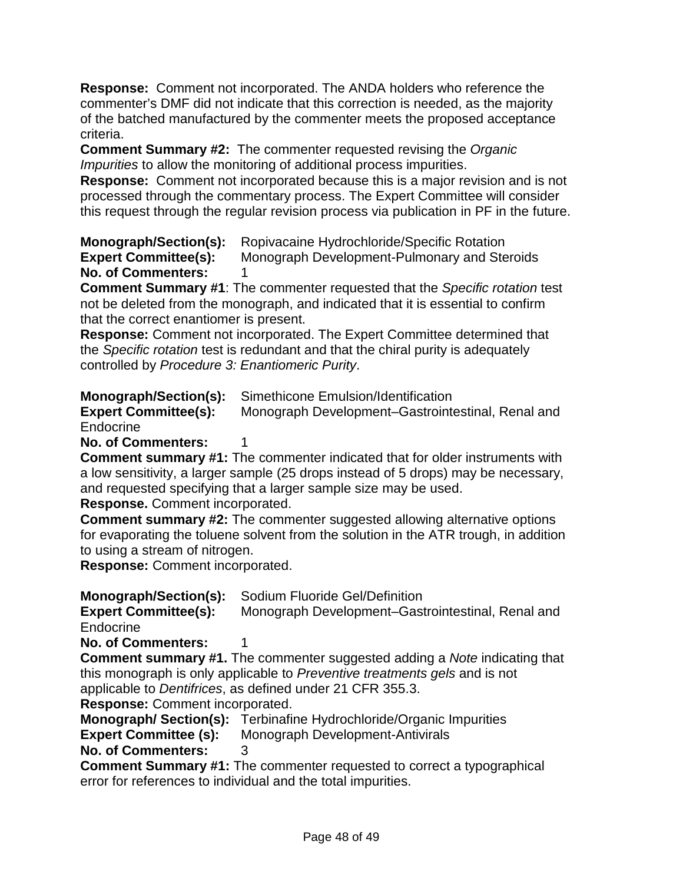**Response:** Comment not incorporated. The ANDA holders who reference the commenter's DMF did not indicate that this correction is needed, as the majority of the batched manufactured by the commenter meets the proposed acceptance criteria.

**Comment Summary #2:** The commenter requested revising the *Organic Impurities* to allow the monitoring of additional process impurities.

**Response:** Comment not incorporated because this is a major revision and is not processed through the commentary process. The Expert Committee will consider this request through the regular revision process via publication in PF in the future.

**Monograph/Section(s):** Ropivacaine Hydrochloride/Specific Rotation<br>**Expert Committee(s):** Monograph Development-Pulmonary and Ste **Monograph Development-Pulmonary and Steroids No. of Commenters:** 1

**Comment Summary #1**: The commenter requested that the *Specific rotation* test not be deleted from the monograph, and indicated that it is essential to confirm that the correct enantiomer is present.

**Response:** Comment not incorporated. The Expert Committee determined that the *Specific rotation* test is redundant and that the chiral purity is adequately controlled by *Procedure 3: Enantiomeric Purity*.

**Monograph/Section(s):** Simethicone Emulsion/Identification<br> **Expert Committee(s):** Monograph Development–Gastrointe

**Expert Committee(s):** Monograph Development–Gastrointestinal, Renal and Endocrine

**No. of Commenters:** 

**Comment summary #1:** The commenter indicated that for older instruments with a low sensitivity, a larger sample (25 drops instead of 5 drops) may be necessary, and requested specifying that a larger sample size may be used.

**Response.** Comment incorporated.

**Comment summary #2:** The commenter suggested allowing alternative options for evaporating the toluene solvent from the solution in the ATR trough, in addition to using a stream of nitrogen.

**Response:** Comment incorporated.

**Monograph/Section(s):** Sodium Fluoride Gel/Definition

**Expert Committee(s):** Monograph Development–Gastrointestinal, Renal and Endocrine

**No. of Commenters:** 1

**Comment summary #1.** The commenter suggested adding a *Note* indicating that this monograph is only applicable to *Preventive treatments gels* and is not applicable to *Dentifrices*, as defined under 21 CFR 355.3.

**Response:** Comment incorporated.

**Monograph/ Section(s):** Terbinafine Hydrochloride/Organic Impurities

**Expert Committee (s):** Monograph Development-Antivirals

**No. of Commenters:** 3

**Comment Summary #1:** The commenter requested to correct a typographical error for references to individual and the total impurities.